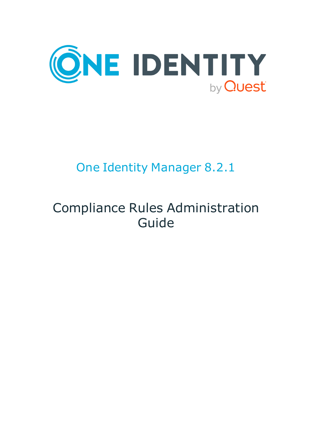

# One Identity Manager 8.2.1

# Compliance Rules Administration Guide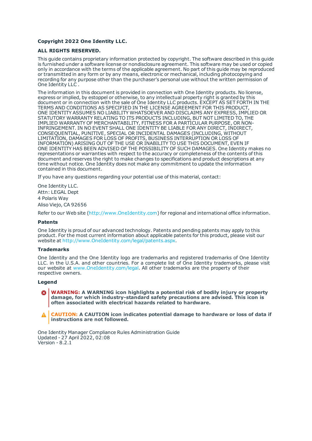#### **Copyright 2022 One Identity LLC.**

#### **ALL RIGHTS RESERVED.**

This guide contains proprietary information protected by copyright. The software described in this guide is furnished under a software license or nondisclosure agreement. This software may be used or copied only in accordance with the terms of the applicable agreement. No part of this guide may be reproduced or transmitted in any form or by any means, electronic or mechanical, including photocopying and recording for any purpose other than the purchaser's personal use without the written permission of One Identity LLC .

The information in this document is provided in connection with One Identity products. No license, express or implied, by estoppel or otherwise, to any intellectual property right is granted by this document or in connection with the sale of One Identity LLC products. EXCEPT AS SET FORTH IN THE TERMS AND CONDITIONS AS SPECIFIED IN THE LICENSE AGREEMENT FOR THIS PRODUCT, ONE IDENTITY ASSUMES NO LIABILITY WHATSOEVER AND DISCLAIMS ANY EXPRESS, IMPLIED OR STATUTORY WARRANTY RELATING TO ITS PRODUCTS INCLUDING, BUT NOT LIMITED TO, THE IMPLIED WARRANTY OF MERCHANTABILITY, FITNESS FOR A PARTICULAR PURPOSE, OR NON-INFRINGEMENT. IN NO EVENT SHALL ONE IDENTITY BE LIABLE FOR ANY DIRECT, INDIRECT, CONSEQUENTIAL, PUNITIVE, SPECIAL OR INCIDENTAL DAMAGES (INCLUDING, WITHOUT LIMITATION, DAMAGES FOR LOSS OF PROFITS, BUSINESS INTERRUPTION OR LOSS OF INFORMATION) ARISING OUT OF THE USE OR INABILITY TO USE THIS DOCUMENT, EVEN IF ONE IDENTITY HAS BEEN ADVISED OF THE POSSIBILITY OF SUCH DAMAGES. One Identity makes no representations or warranties with respect to the accuracy or completeness of the contents of this document and reserves the right to make changes to specifications and product descriptions at any time without notice. One Identity does not make any commitment to update the information contained in this document.

If you have any questions regarding your potential use of this material, contact:

One Identity LLC. Attn: LEGAL Dept 4 Polaris Way Aliso Viejo, CA 92656

Refer to our Web site ([http://www.OneIdentity.com](http://www.oneidentity.com/)) for regional and international office information.

#### **Patents**

One Identity is proud of our advanced technology. Patents and pending patents may apply to this product. For the most current information about applicable patents for this product, please visit our website at [http://www.OneIdentity.com/legal/patents.aspx](http://www.oneidentity.com/legal/patents.aspx).

#### **Trademarks**

One Identity and the One Identity logo are trademarks and registered trademarks of One Identity LLC. in the U.S.A. and other countries. For a complete list of One Identity trademarks, please visit our website at [www.OneIdentity.com/legal](http://www.oneidentity.com/legal). All other trademarks are the property of their respective owners.

#### **Legend**

**WARNING: A WARNING icon highlights a potential risk of bodily injury or property damage, for which industry-standard safety precautions are advised. This icon is often associated with electrical hazards related to hardware.**

**CAUTION: A CAUTION icon indicates potential damage to hardware or loss of data if** A **instructions are not followed.**

One Identity Manager Compliance Rules Administration Guide Updated - 27 April 2022, 02:08 Version - 8.2.1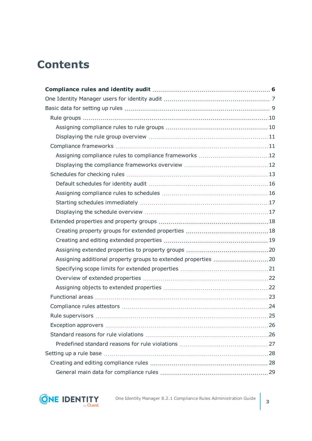## **Contents**

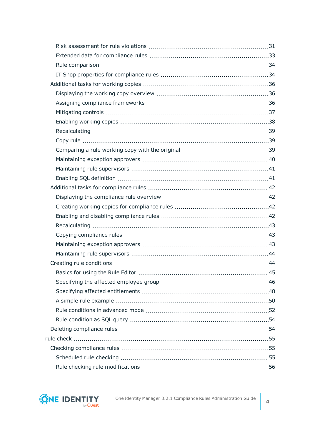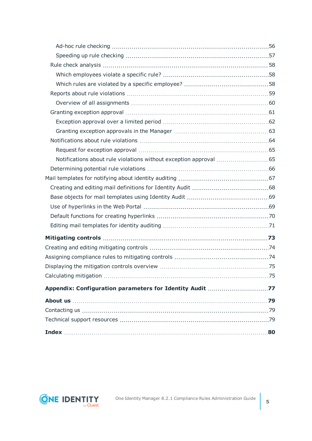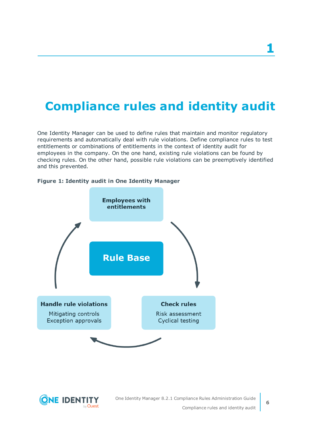## <span id="page-5-0"></span>**Compliance rules and identity audit**

One Identity Manager can be used to define rules that maintain and monitor regulatory requirements and automatically deal with rule violations. Define compliance rules to test entitlements or combinations of entitlements in the context of identity audit for employees in the company. On the one hand, existing rule violations can be found by checking rules. On the other hand, possible rule violations can be preemptively identified and this prevented.



#### **Figure 1: Identity audit in One Identity Manager**

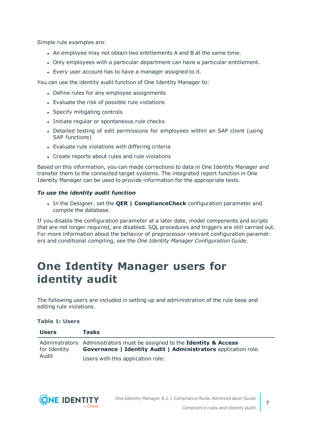Simple rule examples are:

- . An employee may not obtain two entitlements A and B at the same time.
- <sup>l</sup> Only employees with a particular department can have a particular entitlement.
- Every user account has to have a manager assigned to it.

You can use the identity audit function of One Identity Manager to:

- Define rules for any employee assignments
- Evaluate the risk of possible rule violations
- Specify mitigating controls
- Initiate regular or spontaneous rule checks
- Detailed testing of edit permissions for employees within an SAP client (using SAP functions)
- Evaluate rule violations with differing criteria
- Create reports about rules and rule violations

Based on this information, you can made corrections to data in One Identity Manager and transfer them to the connected target systems. The integrated report function in One Identity Manager can be used to provide information for the appropriate tests.

### *To use the identity audit function*

<sup>l</sup> In the Designer, set the **QER | ComplianceCheck** configuration parameter and compile the database.

If you disable the configuration parameter at a later date, model components and scripts that are not longer required, are disabled. SQL procedures and triggers are still carried out. For more information about the behavior of preprocessor relevant configuration parameters and conditional compiling, see the *One Identity Manager Configuration Guide*.

## <span id="page-6-0"></span>**One Identity Manager users for identity audit**

The following users are included in setting up and administration of the rule base and editing rule violations.

### **Table 1: Users**

| <b>Users</b>          | <b>Tasks</b>                                                                                                                                     |
|-----------------------|--------------------------------------------------------------------------------------------------------------------------------------------------|
| for Identity<br>Audit | Administrators Administrators must be assigned to the Identity & Access<br><b>Governance   Identity Audit   Administrators application role.</b> |
|                       | Users with this application role:                                                                                                                |

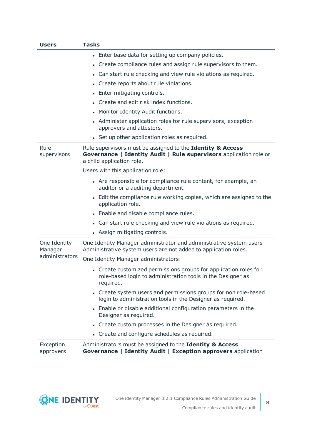| <b>Users</b>                              | <b>Tasks</b>                                                                                                                                                  |
|-------------------------------------------|---------------------------------------------------------------------------------------------------------------------------------------------------------------|
|                                           | • Enter base data for setting up company policies.                                                                                                            |
|                                           | Create compliance rules and assign rule supervisors to them.<br>$\bullet$                                                                                     |
|                                           | Can start rule checking and view rule violations as required.<br>$\bullet$                                                                                    |
|                                           | Create reports about rule violations.<br>$\bullet$                                                                                                            |
|                                           | • Enter mitigating controls.                                                                                                                                  |
|                                           | Create and edit risk index functions.                                                                                                                         |
|                                           | • Monitor Identity Audit functions.                                                                                                                           |
|                                           | Administer application roles for rule supervisors, exception<br>approvers and attestors.                                                                      |
|                                           | • Set up other application roles as required.                                                                                                                 |
| Rule<br>supervisors                       | Rule supervisors must be assigned to the Identity & Access<br>Governance   Identity Audit   Rule supervisors application role or<br>a child application role. |
|                                           | Users with this application role:                                                                                                                             |
|                                           | • Are responsible for compliance rule content, for example, an<br>auditor or a auditing department.                                                           |
|                                           | • Edit the compliance rule working copies, which are assigned to the<br>application role.                                                                     |
|                                           | • Enable and disable compliance rules.                                                                                                                        |
|                                           | • Can start rule checking and view rule violations as required.                                                                                               |
|                                           | • Assign mitigating controls.                                                                                                                                 |
| One Identity<br>Manager<br>administrators | One Identity Manager administrator and administrative system users<br>Administrative system users are not added to application roles.                         |
|                                           | One Identity Manager administrators:                                                                                                                          |
|                                           | • Create customized permissions groups for application roles for<br>role-based login to administration tools in the Designer as<br>required.                  |
|                                           | • Create system users and permissions groups for non role-based<br>login to administration tools in the Designer as required.                                 |
|                                           | • Enable or disable additional configuration parameters in the<br>Designer as required.                                                                       |
|                                           | • Create custom processes in the Designer as required.                                                                                                        |
|                                           | • Create and configure schedules as required.                                                                                                                 |
| Exception<br>approvers                    | Administrators must be assigned to the Identity & Access<br>Governance   Identity Audit   Exception approvers application                                     |

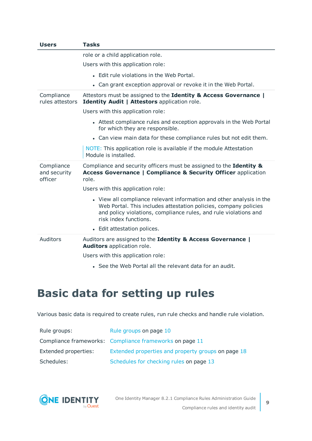| <b>Users</b>                          | <b>Tasks</b>                                                                                                                                                                                                                          |
|---------------------------------------|---------------------------------------------------------------------------------------------------------------------------------------------------------------------------------------------------------------------------------------|
|                                       | role or a child application role.                                                                                                                                                                                                     |
|                                       | Users with this application role:                                                                                                                                                                                                     |
|                                       | • Edit rule violations in the Web Portal.                                                                                                                                                                                             |
|                                       | • Can grant exception approval or revoke it in the Web Portal.                                                                                                                                                                        |
| Compliance<br>rules attestors         | Attestors must be assigned to the Identity & Access Governance  <br>Identity Audit   Attestors application role.                                                                                                                      |
|                                       | Users with this application role:                                                                                                                                                                                                     |
|                                       | • Attest compliance rules and exception approvals in the Web Portal<br>for which they are responsible.                                                                                                                                |
|                                       | • Can view main data for these compliance rules but not edit them.                                                                                                                                                                    |
|                                       | NOTE: This application role is available if the module Attestation<br>Module is installed.                                                                                                                                            |
| Compliance<br>and security<br>officer | Compliance and security officers must be assigned to the Identity &<br><b>Access Governance   Compliance &amp; Security Officer application</b><br>role.                                                                              |
|                                       | Users with this application role:                                                                                                                                                                                                     |
|                                       | • View all compliance relevant information and other analysis in the<br>Web Portal. This includes attestation policies, company policies<br>and policy violations, compliance rules, and rule violations and<br>risk index functions. |
|                                       | • Edit attestation polices.                                                                                                                                                                                                           |
| Auditors                              | Auditors are assigned to the Identity & Access Governance  <br>Auditors application role.                                                                                                                                             |
|                                       | Users with this application role:                                                                                                                                                                                                     |
|                                       | • See the Web Portal all the relevant data for an audit.                                                                                                                                                                              |

## <span id="page-8-0"></span>**Basic data for setting up rules**

Various basic data is required to create rules, run rule checks and handle rule violation.

| Rule groups:         | Rule groups on page 10                                  |
|----------------------|---------------------------------------------------------|
|                      | Compliance frameworks: Compliance frameworks on page 11 |
| Extended properties: | Extended properties and property groups on page 18      |
| Schedules:           | Schedules for checking rules on page 13                 |

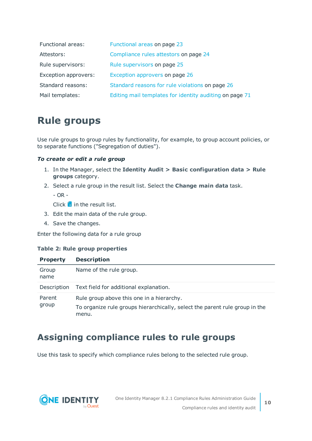| Functional areas:    | Functional areas on page 23                             |
|----------------------|---------------------------------------------------------|
| Attestors:           | Compliance rules attestors on page 24                   |
| Rule supervisors:    | Rule supervisors on page 25                             |
| Exception approvers: | Exception approvers on page 26                          |
| Standard reasons:    | Standard reasons for rule violations on page 26         |
| Mail templates:      | Editing mail templates for identity auditing on page 71 |

## <span id="page-9-0"></span>**Rule groups**

Use rule groups to group rules by functionality, for example, to group account policies, or to separate functions ("Segregation of duties").

### *To create or edit a rule group*

- 1. In the Manager, select the **Identity Audit > Basic configuration data > Rule groups** category.
- 2. Select a rule group in the result list. Select the **Change main data** task.

- OR -

Click  $\blacksquare$  in the result list.

- 3. Edit the main data of the rule group.
- 4. Save the changes.

Enter the following data for a rule group

### **Table 2: Rule group properties**

| <b>Property</b> | <b>Description</b>                                                                                                                |
|-----------------|-----------------------------------------------------------------------------------------------------------------------------------|
| Group<br>name   | Name of the rule group.                                                                                                           |
| Description     | Text field for additional explanation.                                                                                            |
| Parent<br>group | Rule group above this one in a hierarchy.<br>To organize rule groups hierarchically, select the parent rule group in the<br>menu. |

### <span id="page-9-1"></span>**Assigning compliance rules to rule groups**

Use this task to specify which compliance rules belong to the selected rule group.

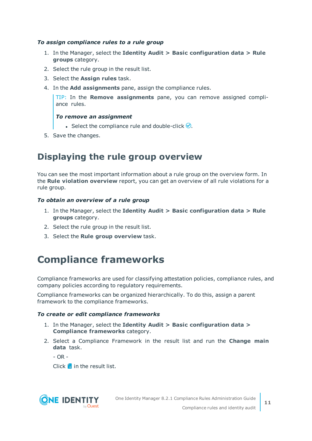### *To assign compliance rules to a rule group*

- 1. In the Manager, select the **Identity Audit > Basic configuration data > Rule groups** category.
- 2. Select the rule group in the result list.
- 3. Select the **Assign rules** task.
- 4. In the **Add assignments** pane, assign the compliance rules.

TIP: In the **Remove assignments** pane, you can remove assigned compliance rules.

### *To remove an assignment*

- Select the compliance rule and double-click  $\bigcirc$ .
- <span id="page-10-0"></span>5. Save the changes.

### **Displaying the rule group overview**

You can see the most important information about a rule group on the overview form. In the **Rule violation overview** report, you can get an overview of all rule violations for a rule group.

### *To obtain an overview of a rule group*

- 1. In the Manager, select the **Identity Audit > Basic configuration data > Rule groups** category.
- 2. Select the rule group in the result list.
- <span id="page-10-1"></span>3. Select the **Rule group overview** task.

## **Compliance frameworks**

Compliance frameworks are used for classifying attestation policies, compliance rules, and company policies according to regulatory requirements.

Compliance frameworks can be organized hierarchically. To do this, assign a parent framework to the compliance frameworks.

### *To create or edit compliance frameworks*

- 1. In the Manager, select the **Identity Audit > Basic configuration data > Compliance frameworks** category.
- 2. Select a Compliance Framework in the result list and run the **Change main data** task.

 $- OR -$ 

Click  $\mathbf{r}$  in the result list.

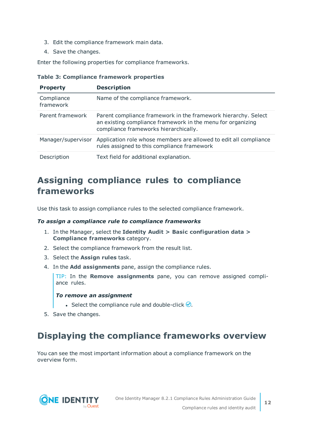- 3. Edit the compliance framework main data.
- 4. Save the changes.

Enter the following properties for compliance frameworks.

|  |  | <b>Table 3: Compliance framework properties</b> |  |  |
|--|--|-------------------------------------------------|--|--|
|--|--|-------------------------------------------------|--|--|

| <b>Property</b>         | <b>Description</b>                                                                                                                                                     |
|-------------------------|------------------------------------------------------------------------------------------------------------------------------------------------------------------------|
| Compliance<br>framework | Name of the compliance framework.                                                                                                                                      |
| Parent framework        | Parent compliance framework in the framework hierarchy. Select<br>an existing compliance framework in the menu for organizing<br>compliance frameworks hierarchically. |
| Manager/supervisor      | Application role whose members are allowed to edit all compliance<br>rules assigned to this compliance framework                                                       |
| Description             | Text field for additional explanation.                                                                                                                                 |

### <span id="page-11-0"></span>**Assigning compliance rules to compliance frameworks**

Use this task to assign compliance rules to the selected compliance framework.

#### *To assign a compliance rule to compliance frameworks*

- 1. In the Manager, select the **Identity Audit > Basic configuration data > Compliance frameworks** category.
- 2. Select the compliance framework from the result list.
- 3. Select the **Assign rules** task.
- 4. In the **Add assignments** pane, assign the compliance rules.

TIP: In the **Remove assignments** pane, you can remove assigned compliance rules.

#### *To remove an assignment*

- Select the compliance rule and double-click  $\bigcirc$ .
- <span id="page-11-1"></span>5. Save the changes.

### **Displaying the compliance frameworks overview**

You can see the most important information about a compliance framework on the overview form.

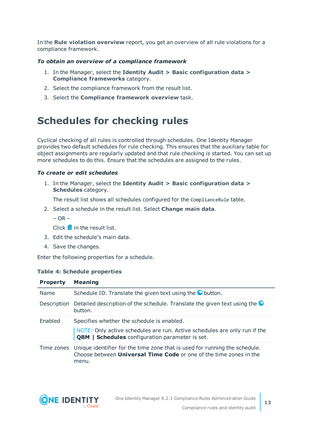In the **Rule violation overview** report, you get an overview of all rule violations for a compliance framework.

### *To obtain an overview of a compliance framework*

- 1. In the Manager, select the **Identity Audit > Basic configuration data > Compliance frameworks** category.
- 2. Select the compliance framework from the result list.
- 3. Select the **Compliance framework overview** task.

## <span id="page-12-0"></span>**Schedules for checking rules**

Cyclical checking of all rules is controlled through schedules. One Identity Manager provides two default schedules for rule checking. This ensures that the auxiliary table for object assignments are regularly updated and that rule checking is started. You can set up more schedules to do this. Ensure that the schedules are assigned to the rules.

### *To create or edit schedules*

1. In the Manager, select the **Identity Audit > Basic configuration data > Schedules** category.

The result list shows all schedules configured for the ComplianceRule table.

2. Select a schedule in the result list. Select **Change main data**.

 $-$  OR  $-$ 

Click  $\mathbf{I}$  in the result list.

- 3. Edit the schedule's main data.
- 4. Save the changes.

Enter the following properties for a schedule.

### **Table 4: Schedule properties**

| <b>Property</b> | <b>Meaning</b>                                                                                                                                                   |
|-----------------|------------------------------------------------------------------------------------------------------------------------------------------------------------------|
| Name            | Schedule ID. Translate the given text using the $\bullet$ button.                                                                                                |
| Description     | Detailed description of the schedule. Translate the given text using the<br>button.                                                                              |
| Enabled         | Specifies whether the schedule is enabled.                                                                                                                       |
|                 | NOTE: Only active schedules are run. Active schedules are only run if the<br><b>QBM</b>   Schedules configuration parameter is set.                              |
| Time zones      | Unique identifier for the time zone that is used for running the schedule.<br>Choose between <b>Universal Time Code</b> or one of the time zones in the<br>menu. |

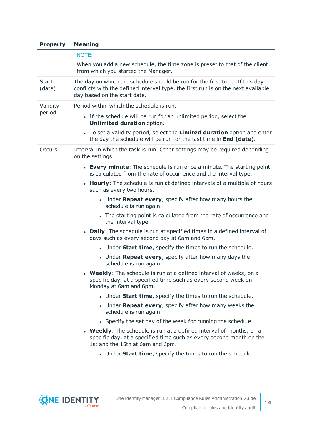| <b>Property</b>        | <b>Meaning</b>                                                                                                                                                                                  |  |  |  |
|------------------------|-------------------------------------------------------------------------------------------------------------------------------------------------------------------------------------------------|--|--|--|
|                        | NOTE:                                                                                                                                                                                           |  |  |  |
|                        | When you add a new schedule, the time zone is preset to that of the client<br>from which you started the Manager.                                                                               |  |  |  |
| <b>Start</b><br>(date) | The day on which the schedule should be run for the first time. If this day<br>conflicts with the defined interval type, the first run is on the next available<br>day based on the start date. |  |  |  |
| Validity               | Period within which the schedule is run.                                                                                                                                                        |  |  |  |
| period                 | • If the schedule will be run for an unlimited period, select the<br><b>Unlimited duration option.</b>                                                                                          |  |  |  |
|                        | • To set a validity period, select the Limited duration option and enter<br>the day the schedule will be run for the last time in End (date).                                                   |  |  |  |
| Occurs                 | Interval in which the task is run. Other settings may be required depending<br>on the settings.                                                                                                 |  |  |  |
|                        | • Every minute: The schedule is run once a minute. The starting point<br>is calculated from the rate of occurrence and the interval type.                                                       |  |  |  |
|                        | • Hourly: The schedule is run at defined intervals of a multiple of hours<br>such as every two hours.                                                                                           |  |  |  |
|                        | • Under Repeat every, specify after how many hours the<br>schedule is run again.                                                                                                                |  |  |  |
|                        | • The starting point is calculated from the rate of occurrence and<br>the interval type.                                                                                                        |  |  |  |
|                        | • Daily: The schedule is run at specified times in a defined interval of<br>days such as every second day at 6am and 6pm.                                                                       |  |  |  |
|                        | . Under Start time, specify the times to run the schedule.                                                                                                                                      |  |  |  |
|                        | • Under Repeat every, specify after how many days the<br>schedule is run again.                                                                                                                 |  |  |  |
|                        | • Weekly: The schedule is run at a defined interval of weeks, on a<br>specific day, at a specified time such as every second week on<br>Monday at 6am and 6pm.                                  |  |  |  |
|                        | • Under Start time, specify the times to run the schedule.                                                                                                                                      |  |  |  |
|                        | • Under Repeat every, specify after how many weeks the<br>schedule is run again.                                                                                                                |  |  |  |
|                        | • Specify the set day of the week for running the schedule.                                                                                                                                     |  |  |  |
|                        | • Weekly: The schedule is run at a defined interval of months, on a<br>specific day, at a specified time such as every second month on the<br>1st and the 15th at 6am and 6pm.                  |  |  |  |
|                        | . Under Start time, specify the times to run the schedule.                                                                                                                                      |  |  |  |
|                        |                                                                                                                                                                                                 |  |  |  |

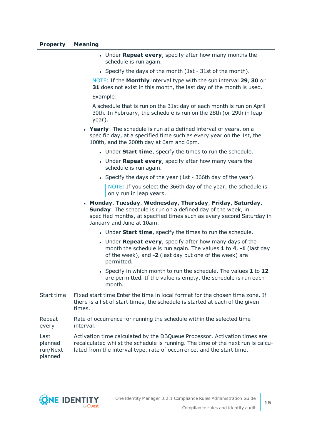#### **Property Meaning**

- **.** Under **Repeat every**, specify after how many months the schedule is run again.
- Specify the days of the month (1st 31st of the month).

NOTE: If the **Monthly** interval type with the sub interval **29**, **30** or **31** does not exist in this month, the last day of the month is used.

Example:

A schedule that is run on the 31st day of each month is run on April 30th. In February, the schedule is run on the 28th (or 29th in leap year).

- **· Yearly**: The schedule is run at a defined interval of years, on a specific day, at a specified time such as every year on the 1st, the 100th, and the 200th day at 6am and 6pm.
	- **.** Under **Start time**, specify the times to run the schedule.
	- **.** Under **Repeat every**, specify after how many years the schedule is run again.
	- Specify the days of the year (1st 366th day of the year).

NOTE: If you select the 366th day of the year, the schedule is only run in leap years.

- <sup>l</sup> **Monday**, **Tuesday**, **Wednesday**, **Thursday**, **Friday**, **Saturday**, **Sunday**: The schedule is run on a defined day of the week, in specified months, at specified times such as every second Saturday in January and June at 10am.
	- **.** Under **Start time**, specify the times to run the schedule.
	- **.** Under **Repeat every**, specify after how many days of the month the schedule is run again. The values **1** to **4**, **-1** (last day of the week), and **-2** (last day but one of the week) are permitted.
	- <sup>l</sup> Specify in which month to run the schedule. The values **1** to **12** are permitted. If the value is empty, the schedule is run each month.

| Start time                             | Fixed start time Enter the time in local format for the chosen time zone. If<br>there is a list of start times, the schedule is started at each of the given<br>times.                                                                |
|----------------------------------------|---------------------------------------------------------------------------------------------------------------------------------------------------------------------------------------------------------------------------------------|
| Repeat<br>every                        | Rate of occurrence for running the schedule within the selected time<br>interval.                                                                                                                                                     |
| Last<br>planned<br>run/Next<br>planned | Activation time calculated by the DBQueue Processor. Activation times are<br>recalculated whilst the schedule is running. The time of the next run is calcu-<br>lated from the interval type, rate of occurrence, and the start time. |

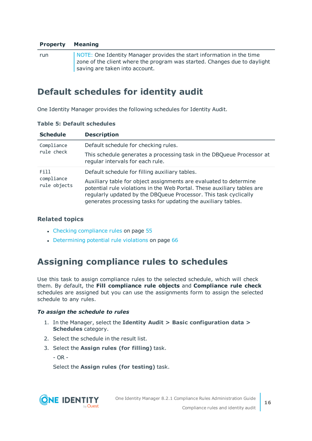### **Property Meaning**

run NOTE: One Identity Manager provides the start information in the time zone of the client where the program was started. Changes due to daylight saving are taken into account.

### <span id="page-15-0"></span>**Default schedules for identity audit**

One Identity Manager provides the following schedules for Identity Audit.

| <b>Schedule</b>            | <b>Description</b>                                                                                                                                                                                                                                                                |
|----------------------------|-----------------------------------------------------------------------------------------------------------------------------------------------------------------------------------------------------------------------------------------------------------------------------------|
| Compliance                 | Default schedule for checking rules.                                                                                                                                                                                                                                              |
| rule check                 | This schedule generates a processing task in the DBQueue Processor at<br>regular intervals for each rule.                                                                                                                                                                         |
| Fill                       | Default schedule for filling auxiliary tables.                                                                                                                                                                                                                                    |
| compliance<br>rule objects | Auxiliary table for object assignments are evaluated to determine<br>potential rule violations in the Web Portal. These auxiliary tables are<br>regularly updated by the DBQueue Processor. This task cyclically<br>generates processing tasks for updating the auxiliary tables. |

### **Table 5: Default schedules**

### **Related topics**

- Checking [compliance](#page-54-1) rules on page 55
- [Determining](#page-65-0) potential rule violations on page 66

### <span id="page-15-1"></span>**Assigning compliance rules to schedules**

Use this task to assign compliance rules to the selected schedule, which will check them. By default, the **Fill compliance rule objects** and **Compliance rule check** schedules are assigned but you can use the assignments form to assign the selected schedule to any rules.

### *To assign the schedule to rules*

- 1. In the Manager, select the **Identity Audit > Basic configuration data > Schedules** category.
- 2. Select the schedule in the result list.
- 3. Select the **Assign rules (for filling)** task.

- OR -

Select the **Assign rules (for testing)** task.



**16**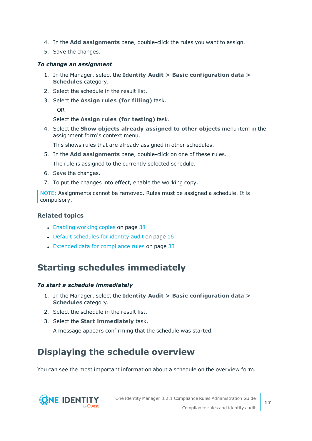- 4. In the **Add assignments** pane, double-click the rules you want to assign.
- 5. Save the changes.

#### *To change an assignment*

- 1. In the Manager, select the **Identity Audit > Basic configuration data > Schedules** category.
- 2. Select the schedule in the result list.
- 3. Select the **Assign rules (for filling)** task.
	- OR -

Select the **Assign rules (for testing)** task.

4. Select the **Show objects already assigned to other objects** menu item in the assignment form's context menu.

This shows rules that are already assigned in other schedules.

5. In the **Add assignments** pane, double-click on one of these rules.

The rule is assigned to the currently selected schedule.

- 6. Save the changes.
- 7. To put the changes into effect, enable the working copy.

NOTE: Assignments cannot be removed. Rules must be assigned a schedule. It is compulsory.

### **Related topics**

- $\cdot$  [Enabling](#page-37-0) working copies on page 38
- Default [schedules](#page-15-0) for identity audit on page 16
- Extended data for [compliance](#page-32-0) rules on page 33

### <span id="page-16-0"></span>**Starting schedules immediately**

#### *To start a schedule immediately*

- 1. In the Manager, select the **Identity Audit > Basic configuration data > Schedules** category.
- 2. Select the schedule in the result list.
- 3. Select the **Start immediately** task.

A message appears confirming that the schedule was started.

### <span id="page-16-1"></span>**Displaying the schedule overview**

You can see the most important information about a schedule on the overview form.

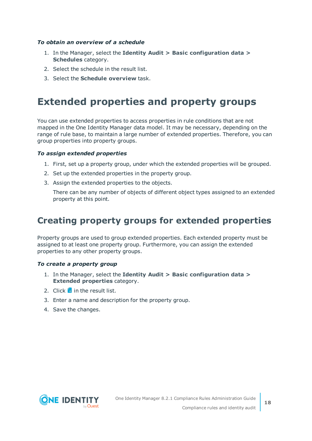### *To obtain an overview of a schedule*

- 1. In the Manager, select the **Identity Audit > Basic configuration data > Schedules** category.
- 2. Select the schedule in the result list.
- <span id="page-17-0"></span>3. Select the **Schedule overview** task.

## **Extended properties and property groups**

You can use extended properties to access properties in rule conditions that are not mapped in the One Identity Manager data model. It may be necessary, depending on the range of rule base, to maintain a large number of extended properties. Therefore, you can group properties into property groups.

### *To assign extended properties*

- 1. First, set up a property group, under which the extended properties will be grouped.
- 2. Set up the extended properties in the property group.
- 3. Assign the extended properties to the objects.

There can be any number of objects of different object types assigned to an extended property at this point.

### <span id="page-17-1"></span>**Creating property groups for extended properties**

Property groups are used to group extended properties. Each extended property must be assigned to at least one property group. Furthermore, you can assign the extended properties to any other property groups.

#### *To create a property group*

- 1. In the Manager, select the **Identity Audit > Basic configuration data > Extended properties** category.
- 2. Click  $\frac{1}{2}$  in the result list.
- 3. Enter a name and description for the property group.
- 4. Save the changes.

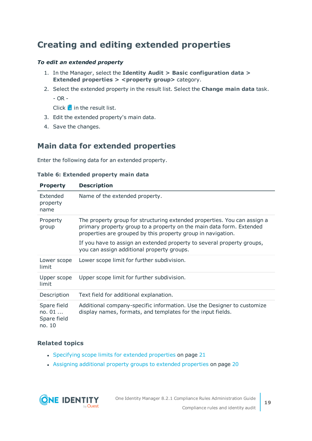### <span id="page-18-0"></span>**Creating and editing extended properties**

### *To edit an extended property*

- 1. In the Manager, select the **Identity Audit > Basic configuration data > Extended properties > <property group>** category.
- 2. Select the extended property in the result list. Select the **Change main data** task.

- OR -

Click  $\frac{1}{x}$  in the result list.

- 3. Edit the extended property's main data.
- <span id="page-18-1"></span>4. Save the changes.

### **Main data for extended properties**

Enter the following data for an extended property.

### **Table 6: Extended property main data**

| <b>Property</b>                                  | <b>Description</b>                                                                                                                                                                                               |
|--------------------------------------------------|------------------------------------------------------------------------------------------------------------------------------------------------------------------------------------------------------------------|
| Extended<br>property<br>name                     | Name of the extended property.                                                                                                                                                                                   |
| Property<br>group                                | The property group for structuring extended properties. You can assign a<br>primary property group to a property on the main data form. Extended<br>properties are grouped by this property group in navigation. |
|                                                  | If you have to assign an extended property to several property groups,<br>you can assign additional property groups.                                                                                             |
| Lower scope<br>limit                             | Lower scope limit for further subdivision.                                                                                                                                                                       |
| Upper scope<br>limit                             | Upper scope limit for further subdivision.                                                                                                                                                                       |
| Description                                      | Text field for additional explanation.                                                                                                                                                                           |
| Spare field<br>no. $01$<br>Spare field<br>no. 10 | Additional company-specific information. Use the Designer to customize<br>display names, formats, and templates for the input fields.                                                                            |

### **Related topics**

- [Specifying](#page-20-0) scope limits for extended properties on page 21
- Assigning additional property groups to extended [properties](#page-19-1) on page 20

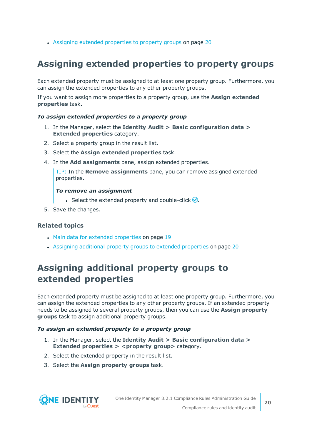• Assigning extended [properties](#page-19-0) to property groups on page 20

### <span id="page-19-0"></span>**Assigning extended properties to property groups**

Each extended property must be assigned to at least one property group. Furthermore, you can assign the extended properties to any other property groups.

If you want to assign more properties to a property group, use the **Assign extended properties** task.

### *To assign extended properties to a property group*

- 1. In the Manager, select the **Identity Audit > Basic configuration data > Extended properties** category.
- 2. Select a property group in the result list.
- 3. Select the **Assign extended properties** task.
- 4. In the **Add assignments** pane, assign extended properties.

TIP: In the **Remove assignments** pane, you can remove assigned extended properties.

### *To remove an assignment*

- **Select the extended property and double-click**  $\odot$ **.**
- 5. Save the changes.

### **Related topics**

- Main data for extended [properties](#page-18-1) on page 19
- <sup>l</sup> Assigning additional property groups to extended [properties](#page-19-1) on page 20

### <span id="page-19-1"></span>**Assigning additional property groups to extended properties**

Each extended property must be assigned to at least one property group. Furthermore, you can assign the extended properties to any other property groups. If an extended property needs to be assigned to several property groups, then you can use the **Assign property groups** task to assign additional property groups.

#### *To assign an extended property to a property group*

- 1. In the Manager, select the **Identity Audit > Basic configuration data > Extended properties > <property group>** category.
- 2. Select the extended property in the result list.
- 3. Select the **Assign property groups** task.

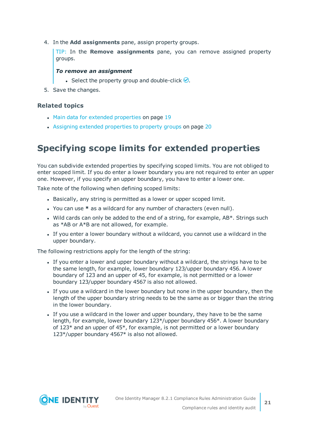4. In the **Add assignments** pane, assign property groups.

TIP: In the **Remove assignments** pane, you can remove assigned property groups.

### *To remove an assignment*

- Select the property group and double-click  $\odot$ .
- 5. Save the changes.

### **Related topics**

- Main data for extended [properties](#page-18-1) on page 19
- Assigning extended [properties](#page-19-0) to property groups on page 20

### <span id="page-20-0"></span>**Specifying scope limits for extended properties**

You can subdivide extended properties by specifying scoped limits. You are not obliged to enter scoped limit. If you do enter a lower boundary you are not required to enter an upper one. However, if you specify an upper boundary, you have to enter a lower one.

Take note of the following when defining scoped limits:

- Basically, any string is permitted as a lower or upper scoped limit.
- <sup>l</sup> You can use **\*** as a wildcard for any number of characters (even null).
- $\bullet$  Wild cards can only be added to the end of a string, for example, AB\*. Strings such as \*AB or A\*B are not allowed, for example.
- If you enter a lower boundary without a wildcard, you cannot use a wildcard in the upper boundary.

The following restrictions apply for the length of the string:

- If you enter a lower and upper boundary without a wildcard, the strings have to be the same length, for example, lower boundary 123/upper boundary 456. A lower boundary of 123 and an upper of 45, for example, is not permitted or a lower boundary 123/upper boundary 4567 is also not allowed.
- If you use a wildcard in the lower boundary but none in the upper boundary, then the length of the upper boundary string needs to be the same as or bigger than the string in the lower boundary.
- If you use a wildcard in the lower and upper boundary, they have to be the same length, for example, lower boundary 123\*/upper boundary 456\*. A lower boundary of  $123*$  and an upper of  $45*$ , for example, is not permitted or a lower boundary 123\*/upper boundary 4567\* is also not allowed.

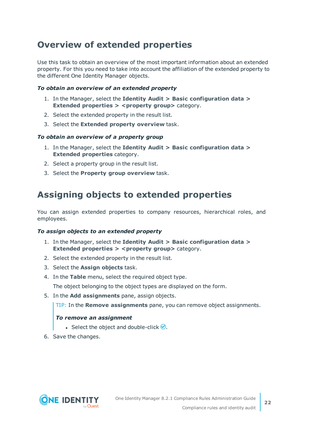### <span id="page-21-0"></span>**Overview of extended properties**

Use this task to obtain an overview of the most important information about an extended property. For this you need to take into account the affiliation of the extended property to the different One Identity Manager objects.

### *To obtain an overview of an extended property*

- 1. In the Manager, select the **Identity Audit > Basic configuration data > Extended properties > <property group>** category.
- 2. Select the extended property in the result list.
- 3. Select the **Extended property overview** task.

### *To obtain an overview of a property group*

- 1. In the Manager, select the **Identity Audit > Basic configuration data > Extended properties** category.
- 2. Select a property group in the result list.
- <span id="page-21-1"></span>3. Select the **Property group overview** task.

### **Assigning objects to extended properties**

You can assign extended properties to company resources, hierarchical roles, and employees.

### *To assign objects to an extended property*

- 1. In the Manager, select the **Identity Audit > Basic configuration data > Extended properties > <property group>** category.
- 2. Select the extended property in the result list.
- 3. Select the **Assign objects** task.
- 4. In the **Table** menu, select the required object type.

The object belonging to the object types are displayed on the form.

5. In the **Add assignments** pane, assign objects.

TIP: In the **Remove assignments** pane, you can remove object assignments.

### *To remove an assignment*

- **Select the object and double-click**  $\bigcirc$ **.**
- 6. Save the changes.

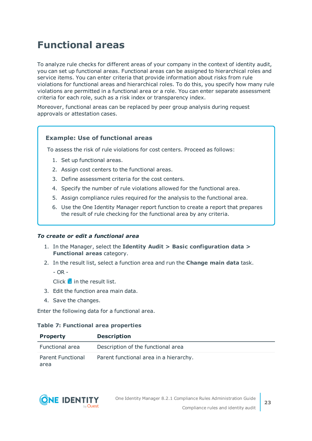## <span id="page-22-0"></span>**Functional areas**

To analyze rule checks for different areas of your company in the context of identity audit, you can set up functional areas. Functional areas can be assigned to hierarchical roles and service items. You can enter criteria that provide information about risks from rule violations for functional areas and hierarchical roles. To do this, you specify how many rule violations are permitted in a functional area or a role. You can enter separate assessment criteria for each role, such as a risk index or transparency index.

Moreover, functional areas can be replaced by peer group analysis during request approvals or attestation cases.

### **Example: Use of functional areas**

To assess the risk of rule violations for cost centers. Proceed as follows:

- 1. Set up functional areas.
- 2. Assign cost centers to the functional areas.
- 3. Define assessment criteria for the cost centers.
- 4. Specify the number of rule violations allowed for the functional area.
- 5. Assign compliance rules required for the analysis to the functional area.
- 6. Use the One Identity Manager report function to create a report that prepares the result of rule checking for the functional area by any criteria.

#### *To create or edit a functional area*

- 1. In the Manager, select the **Identity Audit > Basic configuration data > Functional areas** category.
- 2. In the result list, select a function area and run the **Change main data** task.

- OR -

Click  $\mathbf{t}$  in the result list.

- 3. Edit the function area main data.
- 4. Save the changes.

Enter the following data for a functional area.

#### **Table 7: Functional area properties**

| <b>Property</b>                  | <b>Description</b>                     |
|----------------------------------|----------------------------------------|
| Functional area                  | Description of the functional area     |
| <b>Parent Functional</b><br>area | Parent functional area in a hierarchy. |

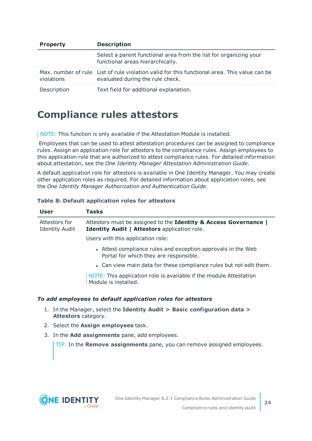| <b>Property</b> | <b>Description</b>                                                                                                               |
|-----------------|----------------------------------------------------------------------------------------------------------------------------------|
|                 | Select a parent functional area from the list for organizing your<br>functional areas hierarchically.                            |
| violations      | Max, number of rule List of rule violation valid for this functional area. This value can be<br>evaluated during the rule check. |
| Description     | Text field for additional explanation.                                                                                           |

### <span id="page-23-0"></span>**Compliance rules attestors**

NOTE: This function is only available if the Attestation Module is installed.

Employees that can be used to attest attestation procedures can be assigned to compliance rules. Assign an application role for attestors to the compliance rules. Assign employees to this application role that are authorized to attest compliance rules. For detailed information about attestation, see the *One Identity Manager Attestation Administration Guide*.

A default application role for attestors is available in One Identity Manager. You may create other application roles as required. For detailed information about application roles, see the *One Identity Manager Authorization and Authentication Guide*.

### **Table 8: Default application roles for attestors**

| <b>User</b>                            | <b>Tasks</b>                                                                                                     |
|----------------------------------------|------------------------------------------------------------------------------------------------------------------|
| Attestors for<br><b>Identity Audit</b> | Attestors must be assigned to the Identity & Access Governance  <br>Identity Audit   Attestors application role. |
|                                        | Users with this application role:                                                                                |
|                                        | • Attest compliance rules and exception approvals in the Web<br>Portal for which they are responsible.           |
|                                        | • Can view main data for these compliance rules but not edit them.                                               |
|                                        | NOTE: This application role is available if the module Attestation<br>Module is installed.                       |

### *To add employees to default application roles for attestors*

- 1. In the Manager, select the **Identity Audit > Basic configuration data > Attestors** category.
- 2. Select the **Assign employees** task.
- 3. In the **Add assignments** pane, add employees.

TIP: In the **Remove assignments** pane, you can remove assigned employees.

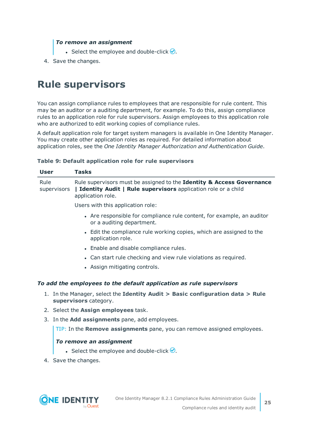### *To remove an assignment*

- Select the employee and double-click  $\bigcirc$ .
- <span id="page-24-0"></span>4. Save the changes.

## **Rule supervisors**

You can assign compliance rules to employees that are responsible for rule content. This may be an auditor or a auditing department, for example. To do this, assign compliance rules to an application role for rule supervisors. Assign employees to this application role who are authorized to edit working copies of compliance rules.

A default application role for target system managers is available in One Identity Manager. You may create other application roles as required. For detailed information about application roles, see the *One Identity Manager Authorization and Authentication Guide*.

### **Table 9: Default application role for rule supervisors**

| <b>User</b>         | <b>Tasks</b>                                                                                                                                                  |  |
|---------------------|---------------------------------------------------------------------------------------------------------------------------------------------------------------|--|
| Rule<br>supervisors | Rule supervisors must be assigned to the Identity & Access Governance<br>  Identity Audit   Rule supervisors application role or a child<br>application role. |  |
|                     | Users with this application role:                                                                                                                             |  |
|                     | • Are responsible for compliance rule content, for example, an auditor<br>or a auditing department.                                                           |  |
|                     | • Edit the compliance rule working copies, which are assigned to the<br>application role.                                                                     |  |
|                     | • Enable and disable compliance rules.                                                                                                                        |  |
|                     | • Can start rule checking and view rule violations as required.                                                                                               |  |
|                     | • Assign mitigating controls.                                                                                                                                 |  |
|                     | To add the employees to the default application as rule supervisors                                                                                           |  |
| 1.                  | In the Manager, select the Identity Audit $>$ Basic configuration data $>$ Rule<br>supervisors category.                                                      |  |
|                     | 2. Select the <b>Assign employees</b> task.                                                                                                                   |  |
|                     | 3. In the Add assignments pane, add employees.                                                                                                                |  |
|                     | TIP: In the <b>Remove assignments</b> pane, you can remove assigned employees.                                                                                |  |
|                     | To remove an assignment                                                                                                                                       |  |
|                     | • Select the employee and double-click $\bigcirc$ .                                                                                                           |  |
|                     |                                                                                                                                                               |  |

4. Save the changes.

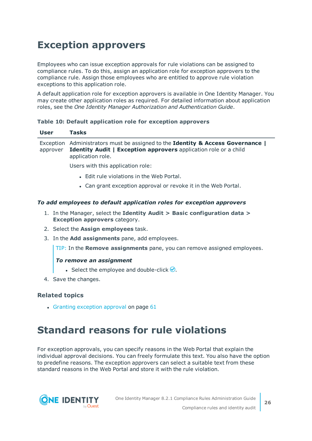## <span id="page-25-0"></span>**Exception approvers**

Employees who can issue exception approvals for rule violations can be assigned to compliance rules. To do this, assign an application role for exception approvers to the compliance rule. Assign those employees who are entitled to approve rule violation exceptions to this application role.

A default application role for exception approvers is available in One Identity Manager. You may create other application roles as required. For detailed information about application roles, see the *One Identity Manager Authorization and Authentication Guide*.

### **Table 10: Default application role for exception approvers**

| <b>User</b> | <b>Tasks</b>                                                                                                                                                                    |
|-------------|---------------------------------------------------------------------------------------------------------------------------------------------------------------------------------|
| approver    | Exception Administrators must be assigned to the Identity & Access Governance  <br><b>Identity Audit   Exception approvers</b> application role or a child<br>application role. |
|             | Users with this application role:                                                                                                                                               |
|             | • Edit rule violations in the Web Portal.                                                                                                                                       |
|             | • Can grant exception approval or revoke it in the Web Portal.                                                                                                                  |

### *To add employees to default application roles for exception approvers*

- 1. In the Manager, select the **Identity Audit > Basic configuration data > Exception approvers** category.
- 2. Select the **Assign employees** task.
- 3. In the **Add assignments** pane, add employees.

TIP: In the **Remove assignments** pane, you can remove assigned employees.

### *To remove an assignment*

- **Select the employee and double-click**  $\bigcirc$ **.**
- 4. Save the changes.

### **Related topics**

 $\cdot$  Granting [exception](#page-60-0) approval on page 61

## <span id="page-25-1"></span>**Standard reasons for rule violations**

For exception approvals, you can specify reasons in the Web Portal that explain the individual approval decisions. You can freely formulate this text. You also have the option to predefine reasons. The exception approvers can select a suitable text from these standard reasons in the Web Portal and store it with the rule violation.

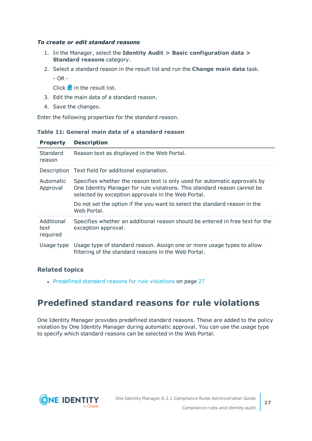### *To create or edit standard reasons*

- 1. In the Manager, select the **Identity Audit > Basic configuration data > Standard reasons** category.
- 2. Select a standard reason in the result list and run the **Change main data** task.
	- OR -

Click  $\mathbf{t}$  in the result list.

- 3. Edit the main data of a standard reason.
- 4. Save the changes.

Enter the following properties for the standard reason.

### **Table 11: General main data of a standard reason**

| <b>Property</b>       | <b>Description</b>                                                                                                                                                                                                                                                                                       |
|-----------------------|----------------------------------------------------------------------------------------------------------------------------------------------------------------------------------------------------------------------------------------------------------------------------------------------------------|
| Standard<br>reason    | Reason text as displayed in the Web Portal.                                                                                                                                                                                                                                                              |
|                       | Description Text field for additional explanation.                                                                                                                                                                                                                                                       |
| Automatic<br>Approval | Specifies whether the reason text is only used for automatic approvals by<br>One Identity Manager for rule violations. This standard reason cannot be<br>selected by exception approvals in the Web Portal.<br>Do not set the option if the you want to select the standard reason in the<br>Web Portal. |
| Additional            | Specifies whether an additional reason should be entered in free text for the                                                                                                                                                                                                                            |
| text<br>required      | exception approval.                                                                                                                                                                                                                                                                                      |
| Usage type            | Usage type of standard reason. Assign one or more usage types to allow<br>filtering of the standard reasons in the Web Portal.                                                                                                                                                                           |

### **Related topics**

• [Predefined](#page-26-0) standard reasons for rule violations on page 27

### <span id="page-26-0"></span>**Predefined standard reasons for rule violations**

One Identity Manager provides predefined standard reasons. These are added to the policy violation by One Identity Manager during automatic approval. You can use the usage type to specify which standard reasons can be selected in the Web Portal.

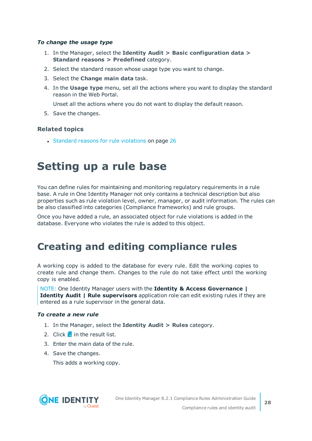### *To change the usage type*

- 1. In the Manager, select the **Identity Audit > Basic configuration data > Standard reasons > Predefined** category.
- 2. Select the standard reason whose usage type you want to change.
- 3. Select the **Change main data** task.
- 4. In the **Usage type** menu, set all the actions where you want to display the standard reason in the Web Portal.

Unset all the actions where you do not want to display the default reason.

5. Save the changes.

### **Related topics**

<span id="page-27-0"></span>• Standard reasons for rule [violations](#page-25-1) on page 26

## **Setting up a rule base**

You can define rules for maintaining and monitoring regulatory requirements in a rule base. A rule in One Identity Manager not only contains a technical description but also properties such as rule violation level, owner, manager, or audit information. The rules can be also classified into categories (Compliance frameworks) and rule groups.

Once you have added a rule, an associated object for rule violations is added in the database. Everyone who violates the rule is added to this object.

## <span id="page-27-1"></span>**Creating and editing compliance rules**

A working copy is added to the database for every rule. Edit the working copies to create rule and change them. Changes to the rule do not take effect until the working copy is enabled.

NOTE: One Identity Manager users with the **Identity & Access Governance | Identity Audit | Rule supervisors** application role can edit existing rules if they are entered as a rule supervisor in the general data.

#### *To create a new rule*

- 1. In the Manager, select the **Identity Audit > Rules** category.
- 2. Click  $\mathbf{r}$  in the result list.
- 3. Enter the main data of the rule.
- 4. Save the changes.

This adds a working copy.

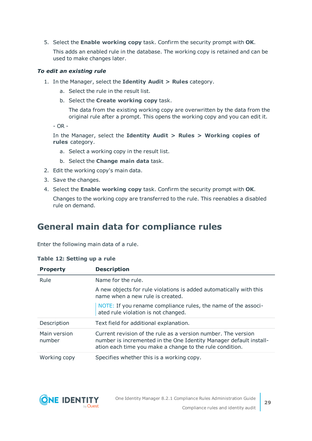5. Select the **Enable working copy** task. Confirm the security prompt with **OK**.

This adds an enabled rule in the database. The working copy is retained and can be used to make changes later.

### *To edit an existing rule*

- 1. In the Manager, select the **Identity Audit > Rules** category.
	- a. Select the rule in the result list.
	- b. Select the **Create working copy** task.

The data from the existing working copy are overwritten by the data from the original rule after a prompt. This opens the working copy and you can edit it.

- OR -

In the Manager, select the **Identity Audit > Rules > Working copies of rules** category.

- a. Select a working copy in the result list.
- b. Select the **Change main data** task.
- 2. Edit the working copy's main data.
- 3. Save the changes.
- 4. Select the **Enable working copy** task. Confirm the security prompt with **OK**.

Changes to the working copy are transferred to the rule. This reenables a disabled rule on demand.

### <span id="page-28-0"></span>**General main data for compliance rules**

Enter the following main data of a rule.

|  |  | Table 12: Setting up a rule |  |  |  |
|--|--|-----------------------------|--|--|--|
|--|--|-----------------------------|--|--|--|

| <b>Property</b>        | <b>Description</b>                                                                                                                                                                              |
|------------------------|-------------------------------------------------------------------------------------------------------------------------------------------------------------------------------------------------|
| <b>Rule</b>            | Name for the rule.                                                                                                                                                                              |
|                        | A new objects for rule violations is added automatically with this<br>name when a new rule is created.                                                                                          |
|                        | NOTE: If you rename compliance rules, the name of the associ-<br>ated rule violation is not changed.                                                                                            |
| Description            | Text field for additional explanation.                                                                                                                                                          |
| Main version<br>number | Current revision of the rule as a version number. The version<br>number is incremented in the One Identity Manager default install-<br>ation each time you make a change to the rule condition. |
| Working copy           | Specifies whether this is a working copy.                                                                                                                                                       |

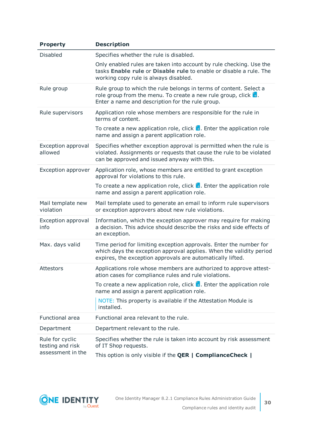| <b>Property</b>                      | <b>Description</b>                                                                                                                                                                                      |  |
|--------------------------------------|---------------------------------------------------------------------------------------------------------------------------------------------------------------------------------------------------------|--|
| <b>Disabled</b>                      | Specifies whether the rule is disabled.                                                                                                                                                                 |  |
|                                      | Only enabled rules are taken into account by rule checking. Use the<br>tasks Enable rule or Disable rule to enable or disable a rule. The<br>working copy rule is always disabled.                      |  |
| Rule group                           | Rule group to which the rule belongs in terms of content. Select a<br>role group from the menu. To create a new rule group, click $\frac{1}{2}$ .<br>Enter a name and description for the rule group.   |  |
| Rule supervisors                     | Application role whose members are responsible for the rule in<br>terms of content.                                                                                                                     |  |
|                                      | To create a new application role, click $\frac{1}{x}$ . Enter the application role<br>name and assign a parent application role.                                                                        |  |
| <b>Exception approval</b><br>allowed | Specifies whether exception approval is permitted when the rule is<br>violated. Assignments or requests that cause the rule to be violated<br>can be approved and issued anyway with this.              |  |
| <b>Exception approver</b>            | Application role, whose members are entitled to grant exception<br>approval for violations to this rule.                                                                                                |  |
|                                      | To create a new application role, click $\frac{1}{x}$ . Enter the application role<br>name and assign a parent application role.                                                                        |  |
| Mail template new<br>violation       | Mail template used to generate an email to inform rule supervisors<br>or exception approvers about new rule violations.                                                                                 |  |
| <b>Exception approval</b><br>info    | Information, which the exception approver may require for making<br>a decision. This advice should describe the risks and side effects of<br>an exception.                                              |  |
| Max. days valid                      | Time period for limiting exception approvals. Enter the number for<br>which days the exception approval applies. When the validity period<br>expires, the exception approvals are automatically lifted. |  |
| Attestors                            | Applications role whose members are authorized to approve attest-<br>ation cases for compliance rules and rule violations.                                                                              |  |
|                                      | To create a new application role, click $\frac{1}{x}$ . Enter the application role<br>name and assign a parent application role.                                                                        |  |
|                                      | NOTE: This property is available if the Attestation Module is<br>installed.                                                                                                                             |  |
| Functional area                      | Functional area relevant to the rule.                                                                                                                                                                   |  |
| Department                           | Department relevant to the rule.                                                                                                                                                                        |  |
| Rule for cyclic<br>testing and risk  | Specifies whether the rule is taken into account by risk assessment<br>of IT Shop requests.                                                                                                             |  |
| assessment in the                    | This option is only visible if the <b>QER   ComplianceCheck</b>                                                                                                                                         |  |

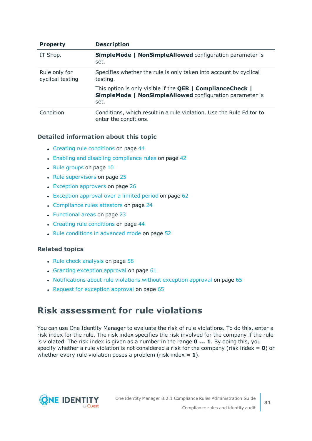| <b>Property</b>                   | <b>Description</b>                                                                                                                    |
|-----------------------------------|---------------------------------------------------------------------------------------------------------------------------------------|
| IT Shop.                          | <b>SimpleMode   NonSimpleAllowed configuration parameter is</b><br>set.                                                               |
| Rule only for<br>cyclical testing | Specifies whether the rule is only taken into account by cyclical<br>testing.                                                         |
|                                   | This option is only visible if the QER   ComplianceCheck  <br><b>SimpleMode   NonSimpleAllowed configuration parameter is</b><br>set. |
| Condition                         | Conditions, which result in a rule violation. Use the Rule Editor to<br>enter the conditions.                                         |

### **Detailed information about this topic**

- Creating rule [conditions](#page-43-1) on page 44
- Enabling and disabling [compliance](#page-41-3) rules on page 42
- $\cdot$  Rule [groups](#page-9-0) on page 10
- $\cdot$  Rule [supervisors](#page-24-0) on page 25
- $\cdot$  Exception [approvers](#page-25-0) on page 26
- $\bullet$  [Exception](#page-61-0) approval over a limited period on page 62
- [Compliance](#page-23-0) rules attestors on page 24
- [Functional](#page-22-0) areas on page 23
- Creating rule [conditions](#page-43-1) on page 44
- Rule [conditions](#page-51-0) in advanced mode on page 52

### **Related topics**

- $\cdot$  Rule check [analysis](#page-57-0) on page 58
- $\cdot$  Granting [exception](#page-60-0) approval on page 61
- [Notifications](#page-64-1) about rule violations without exception approval on page  $65$
- $\cdot$  Request for [exception](#page-64-0) approval on page 65

### <span id="page-30-0"></span>**Risk assessment for rule violations**

You can use One Identity Manager to evaluate the risk of rule violations. To do this, enter a risk index for the rule. The risk index specifies the risk involved for the company if the rule is violated. The risk index is given as a number in the range **0 ... 1**. By doing this, you specify whether a rule violation is not considered a risk for the company (risk index = **0**) or whether every rule violation poses a problem (risk index  $= 1$ ).

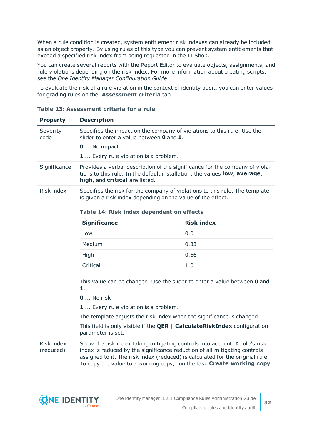When a rule condition is created, system entitlement risk indexes can already be included as an object property. By using rules of this type you can prevent system entitlements that exceed a specified risk index from being requested in the IT Shop.

You can create several reports with the Report Editor to evaluate objects, assignments, and rule violations depending on the risk index. For more information about creating scripts, see the *One Identity Manager Configuration Guide*.

To evaluate the risk of a rule violation in the context of identity audit, you can enter values for grading rules on the **Assessment criteria** tab.

| <b>Property</b>         | <b>Description</b>                                                                                                                                                                                                                                                                                                 |                   |  |
|-------------------------|--------------------------------------------------------------------------------------------------------------------------------------------------------------------------------------------------------------------------------------------------------------------------------------------------------------------|-------------------|--|
| Severity<br>code        | Specifies the impact on the company of violations to this rule. Use the<br>slider to enter a value between $\bm{0}$ and $\bm{1}$ .                                                                                                                                                                                 |                   |  |
|                         | <b>0</b> No impact                                                                                                                                                                                                                                                                                                 |                   |  |
|                         | <b>1</b> Every rule violation is a problem.                                                                                                                                                                                                                                                                        |                   |  |
| Significance            | Provides a verbal description of the significance for the company of viola-<br>tions to this rule. In the default installation, the values low, average,<br>high, and critical are listed.                                                                                                                         |                   |  |
| Risk index              | Specifies the risk for the company of violations to this rule. The template<br>is given a risk index depending on the value of the effect.                                                                                                                                                                         |                   |  |
|                         | Table 14: Risk index dependent on effects                                                                                                                                                                                                                                                                          |                   |  |
|                         | <b>Significance</b>                                                                                                                                                                                                                                                                                                | <b>Risk index</b> |  |
|                         | Low                                                                                                                                                                                                                                                                                                                | 0.0               |  |
|                         | Medium                                                                                                                                                                                                                                                                                                             | 0.33              |  |
|                         | High                                                                                                                                                                                                                                                                                                               | 0.66              |  |
|                         | Critical                                                                                                                                                                                                                                                                                                           | 1.0               |  |
|                         | This value can be changed. Use the slider to enter a value between 0 and<br>1.                                                                                                                                                                                                                                     |                   |  |
|                         | $0$ No risk                                                                                                                                                                                                                                                                                                        |                   |  |
|                         | <b>1</b> Every rule violation is a problem.                                                                                                                                                                                                                                                                        |                   |  |
|                         | The template adjusts the risk index when the significance is changed.                                                                                                                                                                                                                                              |                   |  |
|                         | This field is only visible if the <b>QER   CalculateRiskIndex</b> configuration<br>parameter is set.                                                                                                                                                                                                               |                   |  |
| Risk index<br>(reduced) | Show the risk index taking mitigating controls into account. A rule's risk<br>index is reduced by the significance reduction of all mitigating controls<br>assigned to it. The risk index (reduced) is calculated for the original rule.<br>To copy the value to a working copy, run the task Create working copy. |                   |  |

**Table 13: Assessment criteria for a rule**

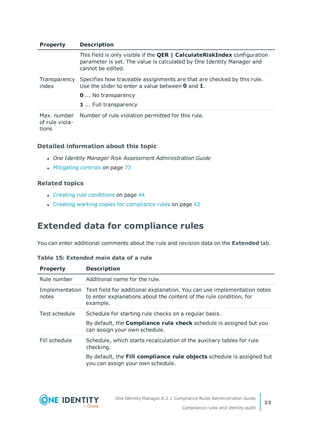| <b>Property</b>                        | <b>Description</b>                                                                                                                                                            |
|----------------------------------------|-------------------------------------------------------------------------------------------------------------------------------------------------------------------------------|
|                                        | This field is only visible if the <b>QER   CalculateRiskIndex</b> configuration<br>parameter is set. The value is calculated by One Identity Manager and<br>cannot be edited. |
| Transparency<br>index                  | Specifies how traceable assignments are that are checked by this rule.<br>Use the slider to enter a value between $\bm{0}$ and $\bm{1}$ .                                     |
|                                        | <b>0</b> No transparency                                                                                                                                                      |
|                                        | 1  Full transparency                                                                                                                                                          |
| Max. number<br>of rule viola-<br>tions | Number of rule violation permitted for this rule.                                                                                                                             |

### **Detailed information about this topic**

- <sup>l</sup> *One Identity Manager Risk Assessment Administration Guide*
- [Mitigating](#page-72-0) controls on page 73

### **Related topics**

- Creating rule [conditions](#page-43-1) on page 44
- Creating working copies for [compliance](#page-41-2) rules on page 42

### <span id="page-32-0"></span>**Extended data for compliance rules**

You can enter additional comments about the rule and revision data on the **Extended** tab.

### **Table 15: Extended main data of a rule**

| <b>Property</b> | <b>Description</b>                                                                                                                                                       |
|-----------------|--------------------------------------------------------------------------------------------------------------------------------------------------------------------------|
| Rule number     | Additional name for the rule.                                                                                                                                            |
| notes           | Implementation Text field for additional explanation. You can use implementation notes<br>to enter explanations about the content of the rule condition, for<br>example. |
| Test schedule   | Schedule for starting rule checks on a regular basis.                                                                                                                    |
|                 | By default, the <b>Compliance rule check</b> schedule is assigned but you<br>can assign your own schedule.                                                               |
| Fill schedule   | Schedule, which starts recalculation of the auxiliary tables for rule<br>checking.                                                                                       |
|                 | By default, the Fill compliance rule objects schedule is assigned but<br>you can assign your own schedule.                                                               |

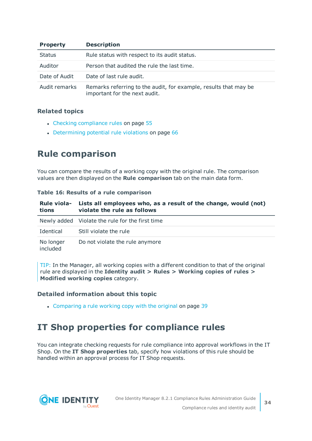| <b>Property</b> | <b>Description</b>                                                                                |  |
|-----------------|---------------------------------------------------------------------------------------------------|--|
| <b>Status</b>   | Rule status with respect to its audit status.                                                     |  |
| Auditor         | Person that audited the rule the last time.                                                       |  |
| Date of Audit   | Date of last rule audit.                                                                          |  |
| Audit remarks   | Remarks referring to the audit, for example, results that may be<br>important for the next audit. |  |

### **Related topics**

- Checking [compliance](#page-54-1) rules on page 55
- [Determining](#page-65-0) potential rule violations on page 66

### <span id="page-33-0"></span>**Rule comparison**

You can compare the results of a working copy with the original rule. The comparison values are then displayed on the **Rule comparison** tab on the main data form.

### **Table 16: Results of a rule comparison**

| <b>Rule viola-</b><br>tions | Lists all employees who, as a result of the change, would (not)<br>violate the rule as follows |  |
|-----------------------------|------------------------------------------------------------------------------------------------|--|
|                             | Newly added Violate the rule for the first time                                                |  |
| Identical                   | Still violate the rule                                                                         |  |
| No longer<br>included       | Do not violate the rule anymore                                                                |  |

TIP: In the Manager, all working copies with a different condition to that of the original rule are displayed in the **Identity audit > Rules > Working copies of rules > Modified working copies** category.

### **Detailed information about this topic**

• [Comparing](#page-38-2) a rule working copy with the original on page 39

### <span id="page-33-1"></span>**IT Shop properties for compliance rules**

You can integrate checking requests for rule compliance into approval workflows in the IT Shop. On the **IT Shop properties** tab, specify how violations of this rule should be handled within an approval process for IT Shop requests.

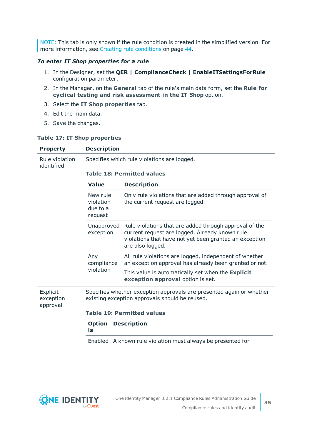NOTE: This tab is only shown if the rule condition is created in the simplified version. [For](#page-43-1) more [information,](#page-43-1) see Creating rule conditions on page 44.

### *To enter IT Shop properties for a rule*

- 1. In the Designer, set the **QER | ComplianceCheck | EnableITSettingsForRule** configuration parameter.
- 2. In the Manager, on the **General** tab of the rule's main data form, set the **Rule for cyclical testing and risk assessment in the IT Shop** option.
- 3. Select the **IT Shop properties** tab.
- 4. Edit the main data.
- 5. Save the changes.

#### **Table 17: IT Shop properties**

| <b>Property</b>                   | <b>Description</b>                           |                                                                                                                                                                                        |  |
|-----------------------------------|----------------------------------------------|----------------------------------------------------------------------------------------------------------------------------------------------------------------------------------------|--|
| Rule violation<br>identified      | Specifies which rule violations are logged.  |                                                                                                                                                                                        |  |
|                                   | <b>Table 18: Permitted values</b>            |                                                                                                                                                                                        |  |
|                                   | <b>Value</b>                                 | <b>Description</b>                                                                                                                                                                     |  |
|                                   | New rule<br>violation<br>due to a<br>request | Only rule violations that are added through approval of<br>the current request are logged.                                                                                             |  |
|                                   | Unapproved<br>exception                      | Rule violations that are added through approval of the<br>current request are logged. Already known rule<br>violations that have not yet been granted an exception<br>are also logged. |  |
|                                   | Any<br>compliance                            | All rule violations are logged, independent of whether<br>an exception approval has already been granted or not.                                                                       |  |
|                                   | violation                                    | This value is automatically set when the Explicit<br>exception approval option is set.                                                                                                 |  |
| Explicit<br>exception<br>approval |                                              | Specifies whether exception approvals are presented again or whether<br>existing exception approvals should be reused.                                                                 |  |
|                                   |                                              | <b>Table 19: Permitted values</b>                                                                                                                                                      |  |
|                                   | <b>Option</b><br>is                          | <b>Description</b>                                                                                                                                                                     |  |
|                                   |                                              | Enabled A known rule violation must always be presented for                                                                                                                            |  |

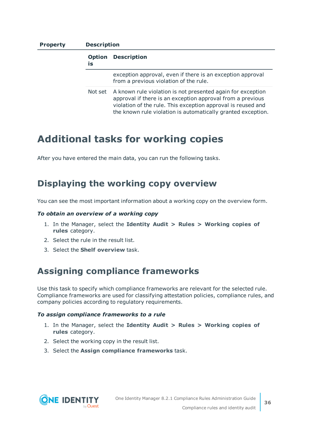### **Property Description**

|  | <b>Option</b><br>is | <b>Description</b>                                                                                                                                                                                                                                        |
|--|---------------------|-----------------------------------------------------------------------------------------------------------------------------------------------------------------------------------------------------------------------------------------------------------|
|  |                     | exception approval, even if there is an exception approval<br>from a previous violation of the rule.                                                                                                                                                      |
|  | Not set             | A known rule violation is not presented again for exception<br>approval if there is an exception approval from a previous<br>violation of the rule. This exception approval is reused and<br>the known rule violation is automatically granted exception. |

### <span id="page-35-0"></span>**Additional tasks for working copies**

After you have entered the main data, you can run the following tasks.

### <span id="page-35-1"></span>**Displaying the working copy overview**

You can see the most important information about a working copy on the overview form.

#### *To obtain an overview of a working copy*

- 1. In the Manager, select the **Identity Audit > Rules > Working copies of rules** category.
- 2. Select the rule in the result list.
- <span id="page-35-2"></span>3. Select the **Shelf overview** task.

### **Assigning compliance frameworks**

Use this task to specify which compliance frameworks are relevant for the selected rule. Compliance frameworks are used for classifying attestation policies, compliance rules, and company policies according to regulatory requirements.

#### *To assign compliance frameworks to a rule*

- 1. In the Manager, select the **Identity Audit > Rules > Working copies of rules** category.
- 2. Select the working copy in the result list.
- 3. Select the **Assign compliance frameworks** task.

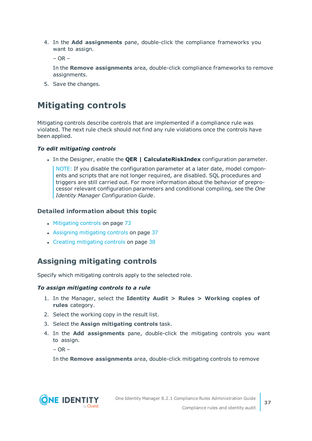4. In the **Add assignments** pane, double-click the compliance frameworks you want to assign.

 $-$  OR  $-$ 

In the **Remove assignments** area, double-click compliance frameworks to remove assignments.

5. Save the changes.

## **Mitigating controls**

Mitigating controls describe controls that are implemented if a compliance rule was violated. The next rule check should not find any rule violations once the controls have been applied.

### *To edit mitigating controls*

<sup>l</sup> In the Designer, enable the **QER | CalculateRiskIndex** configuration parameter.

NOTE: If you disable the configuration parameter at a later date, model components and scripts that are not longer required, are disabled. SQL procedures and triggers are still carried out. For more information about the behavior of preprocessor relevant configuration parameters and conditional compiling, see the *One Identity Manager Configuration Guide*.

### **Detailed information about this topic**

- [Mitigating](#page-72-0) controls on page 73
- Assigning [mitigating](#page-36-0) controls on page 37
- Creating [mitigating](#page-37-0) controls on page 38

### <span id="page-36-0"></span>**Assigning mitigating controls**

Specify which mitigating controls apply to the selected role.

### *To assign mitigating controls to a rule*

- 1. In the Manager, select the **Identity Audit > Rules > Working copies of rules** category.
- 2. Select the working copy in the result list.
- 3. Select the **Assign mitigating controls** task.
- 4. In the **Add assignments** pane, double-click the mitigating controls you want to assign.

 $-$  OR  $-$ 

In the **Remove assignments** area, double-click mitigating controls to remove

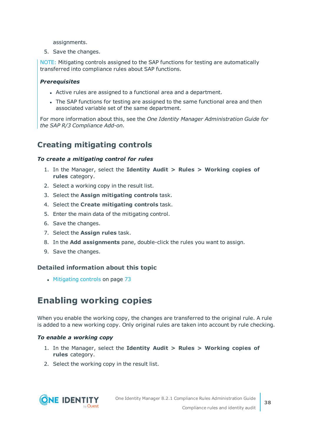assignments.

5. Save the changes.

NOTE: Mitigating controls assigned to the SAP functions for testing are automatically transferred into compliance rules about SAP functions.

### *Prerequisites*

- Active rules are assigned to a functional area and a department.
- The SAP functions for testing are assigned to the same functional area and then associated variable set of the same department.

For more information about this, see the *One Identity Manager Administration Guide for the SAP R/3 Compliance Add-on*.

### <span id="page-37-0"></span>**Creating mitigating controls**

### *To create a mitigating control for rules*

- 1. In the Manager, select the **Identity Audit > Rules > Working copies of rules** category.
- 2. Select a working copy in the result list.
- 3. Select the **Assign mitigating controls** task.
- 4. Select the **Create mitigating controls** task.
- 5. Enter the main data of the mitigating control.
- 6. Save the changes.
- 7. Select the **Assign rules** task.
- 8. In the **Add assignments** pane, double-click the rules you want to assign.
- 9. Save the changes.

### **Detailed information about this topic**

• [Mitigating](#page-72-0) controls on page 73

## **Enabling working copies**

When you enable the working copy, the changes are transferred to the original rule. A rule is added to a new working copy. Only original rules are taken into account by rule checking.

#### *To enable a working copy*

- 1. In the Manager, select the **Identity Audit > Rules > Working copies of rules** category.
- 2. Select the working copy in the result list.

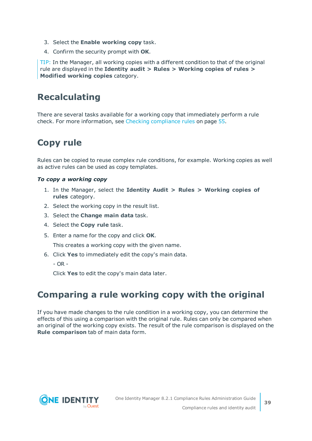- 3. Select the **Enable working copy** task.
- 4. Confirm the security prompt with **OK**.

TIP: In the Manager, all working copies with a different condition to that of the original rule are displayed in the **Identity audit > Rules > Working copies of rules > Modified working copies** category.

### **Recalculating**

There are several tasks available for a working copy that immediately perform a rule check. For more [information,](#page-54-0) see Checking compliance rules on page 55.

## **Copy rule**

Rules can be copied to reuse complex rule conditions, for example. Working copies as well as active rules can be used as copy templates.

### *To copy a working copy*

- 1. In the Manager, select the **Identity Audit > Rules > Working copies of rules** category.
- 2. Select the working copy in the result list.
- 3. Select the **Change main data** task.
- 4. Select the **Copy rule** task.
- 5. Enter a name for the copy and click **OK**.

This creates a working copy with the given name.

- 6. Click **Yes** to immediately edit the copy's main data.
	- $OR -$

Click **Yes** to edit the copy's main data later.

### **Comparing a rule working copy with the original**

If you have made changes to the rule condition in a working copy, you can determine the effects of this using a comparison with the original rule. Rules can only be compared when an original of the working copy exists. The result of the rule comparison is displayed on the **Rule comparison** tab of main data form.

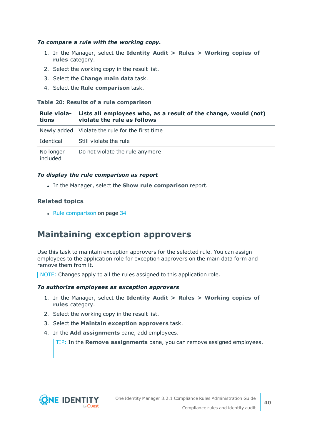### *To compare a rule with the working copy.*

- 1. In the Manager, select the **Identity Audit > Rules > Working copies of rules** category.
- 2. Select the working copy in the result list.
- 3. Select the **Change main data** task.
- 4. Select the **Rule comparison** task.

### **Table 20: Results of a rule comparison**

| tions                 | Rule viola- Lists all employees who, as a result of the change, would (not)<br>violate the rule as follows |
|-----------------------|------------------------------------------------------------------------------------------------------------|
|                       | Newly added Violate the rule for the first time                                                            |
| Identical             | Still violate the rule                                                                                     |
| No longer<br>included | Do not violate the rule anymore                                                                            |

### *To display the rule comparison as report*

<sup>l</sup> In the Manager, select the **Show rule comparison** report.

### **Related topics**

 $\cdot$  Rule [comparison](#page-33-0) on page 34

### **Maintaining exception approvers**

Use this task to maintain exception approvers for the selected rule. You can assign employees to the application role for exception approvers on the main data form and remove them from it.

NOTE: Changes apply to all the rules assigned to this application role.

### *To authorize employees as exception approvers*

- 1. In the Manager, select the **Identity Audit > Rules > Working copies of rules** category.
- 2. Select the working copy in the result list.
- 3. Select the **Maintain exception approvers** task.
- 4. In the **Add assignments** pane, add employees.

TIP: In the **Remove assignments** pane, you can remove assigned employees.

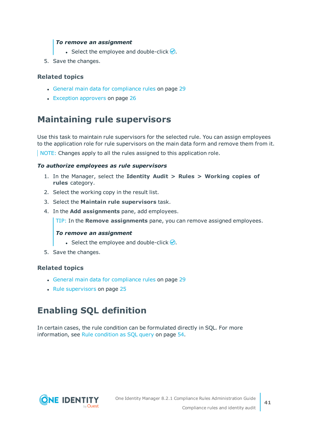### *To remove an assignment*

- **Select the employee and double-click**  $\odot$ **.**
- 5. Save the changes.

### **Related topics**

- General main data for [compliance](#page-28-0) rules on page 29
- Exception [approvers](#page-25-0) on page 26

### **Maintaining rule supervisors**

Use this task to maintain rule supervisors for the selected rule. You can assign employees to the application role for rule supervisors on the main data form and remove them from it.

NOTE: Changes apply to all the rules assigned to this application role.

#### *To authorize employees as rule supervisors*

- 1. In the Manager, select the **Identity Audit > Rules > Working copies of rules** category.
- 2. Select the working copy in the result list.
- 3. Select the **Maintain rule supervisors** task.
- 4. In the **Add assignments** pane, add employees.

TIP: In the **Remove assignments** pane, you can remove assigned employees.

#### *To remove an assignment*

- Select the employee and double-click  $\bigcirc$ .
- 5. Save the changes.

### **Related topics**

- General main data for [compliance](#page-28-0) rules on page 29
- Rule [supervisors](#page-24-0) on page 25

## **Enabling SQL definition**

In certain cases, the rule condition can be formulated directly in SQL. For [more](#page-53-0) [information,](#page-53-0) see Rule condition as SQL query on page 54.

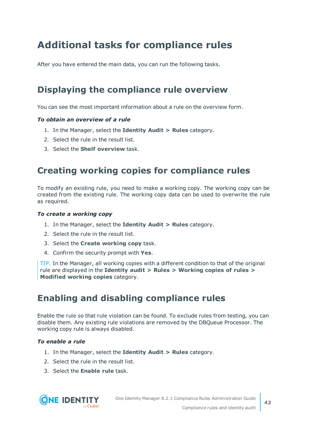# **Additional tasks for compliance rules**

After you have entered the main data, you can run the following tasks.

## **Displaying the compliance rule overview**

You can see the most important information about a rule on the overview form.

### *To obtain an overview of a rule*

- 1. In the Manager, select the **Identity Audit > Rules** category.
- 2. Select the rule in the result list.
- <span id="page-41-1"></span>3. Select the **Shelf overview** task.

### **Creating working copies for compliance rules**

To modify an existing rule, you need to make a working copy. The working copy can be created from the existing rule. The working copy data can be used to overwrite the rule as required.

#### *To create a working copy*

- 1. In the Manager, select the **Identity Audit > Rules** category.
- 2. Select the rule in the result list.
- 3. Select the **Create working copy** task.
- 4. Confirm the security prompt with **Yes**.

TIP: In the Manager, all working copies with a different condition to that of the original rule are displayed in the **Identity audit > Rules > Working copies of rules > Modified working copies** category.

### <span id="page-41-0"></span>**Enabling and disabling compliance rules**

Enable the rule so that rule violation can be found. To exclude rules from testing, you can disable them. Any existing rule violations are removed by the DBQueue Processor. The working copy rule is always disabled.

### *To enable a rule*

- 1. In the Manager, select the **Identity Audit > Rules** category.
- 2. Select the rule in the result list.
- 3. Select the **Enable rule** task.

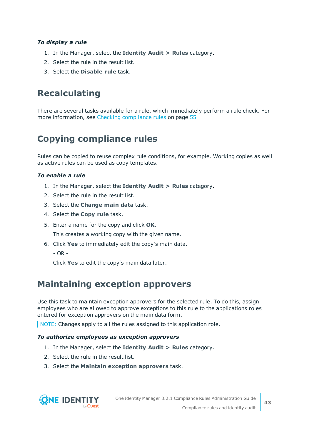### *To display a rule*

- 1. In the Manager, select the **Identity Audit > Rules** category.
- 2. Select the rule in the result list.
- 3. Select the **Disable rule** task.

## **Recalculating**

There are several tasks available for a rule, which immediately perform a rule check. [For](#page-54-0) more [information,](#page-54-0) see Checking compliance rules on page 55.

## **Copying compliance rules**

Rules can be copied to reuse complex rule conditions, for example. Working copies as well as active rules can be used as copy templates.

### *To enable a rule*

- 1. In the Manager, select the **Identity Audit > Rules** category.
- 2. Select the rule in the result list.
- 3. Select the **Change main data** task.
- 4. Select the **Copy rule** task.
- 5. Enter a name for the copy and click **OK**.

This creates a working copy with the given name.

- 6. Click **Yes** to immediately edit the copy's main data.
	- OR -

Click **Yes** to edit the copy's main data later.

### **Maintaining exception approvers**

Use this task to maintain exception approvers for the selected rule. To do this, assign employees who are allowed to approve exceptions to this rule to the applications roles entered for exception approvers on the main data form.

NOTE: Changes apply to all the rules assigned to this application role.

### *To authorize employees as exception approvers*

- 1. In the Manager, select the **Identity Audit > Rules** category.
- 2. Select the rule in the result list.
- 3. Select the **Maintain exception approvers** task.

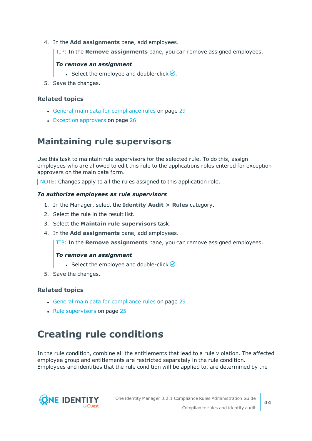4. In the **Add assignments** pane, add employees.

TIP: In the **Remove assignments** pane, you can remove assigned employees.

### *To remove an assignment*

- Select the employee and double-click  $\bigcirc$ .
- 5. Save the changes.

### **Related topics**

- General main data for [compliance](#page-28-0) rules on page 29
- Exception [approvers](#page-25-0) on page 26

### **Maintaining rule supervisors**

Use this task to maintain rule supervisors for the selected rule. To do this, assign employees who are allowed to edit this rule to the applications roles entered for exception approvers on the main data form.

NOTE: Changes apply to all the rules assigned to this application role.

### *To authorize employees as rule supervisors*

- 1. In the Manager, select the **Identity Audit > Rules** category.
- 2. Select the rule in the result list.
- 3. Select the **Maintain rule supervisors** task.
- 4. In the **Add assignments** pane, add employees.

TIP: In the **Remove assignments** pane, you can remove assigned employees.

### *To remove an assignment*

- **Select the employee and double-click**  $\bigcirc$ **.**
- 5. Save the changes.

### **Related topics**

- General main data for [compliance](#page-28-0) rules on page 29
- $\cdot$  Rule [supervisors](#page-24-0) on page 25

# **Creating rule conditions**

In the rule condition, combine all the entitlements that lead to a rule violation. The affected employee group and entitlements are restricted separately in the rule condition. Employees and identities that the rule condition will be applied to, are determined by the

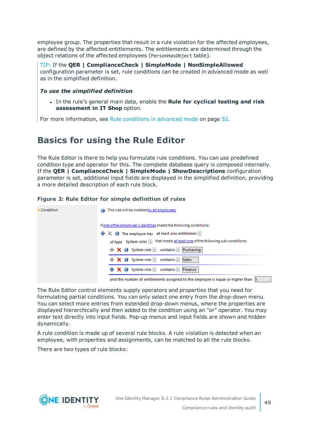employee group. The properties that result in a rule violation for the affected employees, are defined by the affected entitlements. The entitlements are determined through the object relations of the affected employees (PersonHasObject table).

TIP: If the **QER | ComplianceCheck | SimpleMode | NonSimpleAllowed** configuration parameter is set, rule conditions can be created in advanced mode as well as in the simplified definition.

### *To use the simplified definition*

<sup>l</sup> In the rule's general main data, enable the **Rule for cyclical testing and risk assessment in IT Shop** option.

<span id="page-44-0"></span>For more [information,](#page-51-0) see Rule conditions in advanced mode on page 52.

## **Basics for using the Rule Editor**

The Rule Editor is there to help you formulate rule conditions. You can use predefined condition type and operator for this. The complete database query is composed internally. If the **QER | ComplianceCheck | SimpleMode | ShowDescriptions** configuration parameter is set, additional input fields are displayed in the simplified definition, providing a more detailed description of each rule block.

### **Figure 2: Rule Editor for simple definition of rules**

| Condition | This rule will be violated by all employees                                                     |
|-----------|-------------------------------------------------------------------------------------------------|
|           | if one of the employee's identities meets the following conditions:                             |
|           | $\mathbf{\div} \mathbf{\times} \mathbf{0}$ The employee has at least one entitlemen             |
|           |                                                                                                 |
|           | $\mathbf{R}$ $\mathbf{X}$ $\mathbf{0}$ System role $\mathbf{X}$ contains $\mathbf{X}$ Puchasing |
|           | ← X O System role T contains T Sales                                                            |
|           | $\frac{1}{2}$ X $\frac{1}{2}$ System role <b>x</b> contains <b>x</b> Finance                    |
|           | and the number of entitlements assigned to the employee is equal or higher than $ 1 $           |

The Rule Editor control elements supply operators and properties that you need for formulating partial conditions. You can only select one entry from the drop-down menu. You can select more entries from extended drop-down menus, where the properties are displayed hierarchically and then added to the condition using an "or" operator. You may enter text directly into input fields. Pop-up menus and input fields are shown and hidden dynamically.

A rule condition is made up of several rule blocks. A rule violation is detected when an employee, with properties and assignments, can be matched to all the rule blocks.

There are two types of rule blocks:

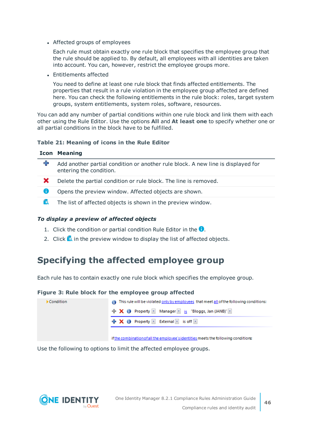• Affected groups of employees

Each rule must obtain exactly one rule block that specifies the employee group that the rule should be applied to. By default, all employees with all identities are taken into account. You can, however, restrict the employee groups more.

• Entitlements affected

You need to define at least one rule block that finds affected entitlements. The properties that result in a rule violation in the employee group affected are defined here. You can check the following entitlements in the rule block: roles, target system groups, system entitlements, system roles, software, resources.

You can add any number of partial conditions within one rule block and link them with each other using the Rule Editor. Use the options **All** and **At least one** to specify whether one or all partial conditions in the block have to be fulfilled.

### **Table 21: Meaning of icons in the Rule Editor**

| <b>Icon Meaning</b> |
|---------------------|
|---------------------|

| ╈            | Add another partial condition or another rule block. A new line is displayed for<br>entering the condition. |
|--------------|-------------------------------------------------------------------------------------------------------------|
| $\mathbf{x}$ | Delete the partial condition or rule block. The line is removed.                                            |
| O            | Opens the preview window. Affected objects are shown.                                                       |
| ĨQ.          | The list of affected objects is shown in the preview window.                                                |

### *To display a preview of affected objects*

- 1. Click the condition or partial condition Rule Editor in the  $\bullet$ .
- 2. Click **is** in the preview window to display the list of affected objects.

### **Specifying the affected employee group**

Each rule has to contain exactly one rule block which specifies the employee group.

#### **Figure 3: Rule block for the employee group affected**

| Condition | This rule will be violated only by employees that meet all of the following conditions:                          |
|-----------|------------------------------------------------------------------------------------------------------------------|
|           | $\frac{1}{2}$ X $\frac{1}{2}$ Property $\frac{1}{2}$ Manager $\frac{1}{2}$ is "Bloggs, Jan (JANB)" $\frac{1}{2}$ |
|           | $\frac{1}{2}$ X $\frac{1}{2}$ Property <b>x</b> External <b>x</b> is off <b>x</b>                                |
|           |                                                                                                                  |

if the combination of all the employee's identities meets the following conditions:

Use the following to options to limit the affected employee groups.

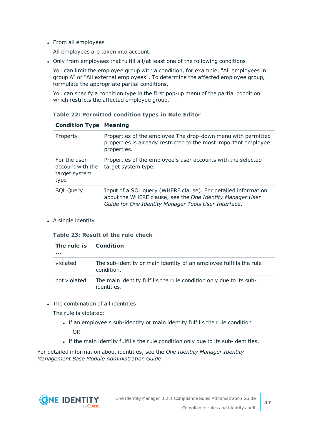• From all employees

All employees are taken into account.

• Only from employees that fulfill all/at least one of the following conditions

You can limit the employee group with a condition, for example, "All employees in group A" or "All external employees". To determine the affected employee group, formulate the appropriate partial conditions.

You can specify a condition type in the first pop-up menu of the partial condition which restricts the affected employee group.

### **Table 22: Permitted condition types in Rule Editor**

| Property                                                  | Properties of the employee The drop-down menu with permitted<br>properties is already restricted to the most important employee<br>properties.                                     |
|-----------------------------------------------------------|------------------------------------------------------------------------------------------------------------------------------------------------------------------------------------|
| For the user<br>account with the<br>target system<br>type | Properties of the employee's user accounts with the selected<br>target system type.                                                                                                |
| <b>SQL Query</b>                                          | Input of a SQL query (WHERE clause). For detailed information<br>about the WHERE clause, see the One Identity Manager User<br>Guide for One Identity Manager Tools User Interface. |

### **Condition Type Meaning**

• A single identity

#### **Table 23: Result of the rule check**

| The rule is<br> | <b>Condition</b>                                                                  |
|-----------------|-----------------------------------------------------------------------------------|
| violated        | The sub-identity or main identity of an employee fulfills the rule<br>condition.  |
| not violated    | The main identity fulfills the rule condition only due to its sub-<br>identities. |

• The combination of all identities

The rule is violated:

- if an employee's sub-identity or main identity fulfills the rule condition - OR -
- if the main identity fulfills the rule condition only due to its sub-identities.

For detailed information about identities, see the *One Identity Manager Identity Management Base Module Administration Guide*.

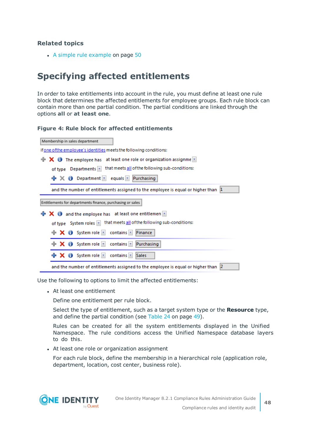• A simple rule [example](#page-49-0) on page 50

### **Specifying affected entitlements**

In order to take entitlements into account in the rule, you must define at least one rule block that determines the affected entitlements for employee groups. Each rule block can contain more than one partial condition. The partial conditions are linked through the options **all** or **at least one**.

#### **Figure 4: Rule block for affected entitlements**

| Membership in sales department                                                                        |  |  |  |
|-------------------------------------------------------------------------------------------------------|--|--|--|
| if one of the employee's identities meets the following conditions:                                   |  |  |  |
| $\mathsf{X}$ $\bullet$ The employee has at least one role or organization assignme $\mathbb{Z}$<br>÷. |  |  |  |
| of type Departments  v  that meets all of the following sub-conditions:                               |  |  |  |
| $\frac{1}{2}$ $\times$ () Department $\times$ equals $\times$ Purchasing                              |  |  |  |
| and the number of entitlements assigned to the employee is equal or higher than $ 1\rangle$           |  |  |  |
| Entitlements for departments finance, purchasing or sales                                             |  |  |  |
| $\mathbf + \mathbf x$ $\mathbf 0$ and the employee has at least one entitlemen $\mathbf x$            |  |  |  |
| of type System roles $\boxed{\mathbf{x}}$ that meets all of the following sub-conditions:             |  |  |  |
| $\mathbf{X}$ <b>O</b> System role <b>z</b> contains <b>z</b><br>Finance                               |  |  |  |
| $\mathbf + \mathbf \times \mathbf 0$ System role <b>z</b> contains <b>z</b><br>Purchasing             |  |  |  |
| $\div$ X $\div$ System role $\Box$<br>contains $ x $<br>Sales                                         |  |  |  |
| and the number of entitlements assigned to the employee is equal or higher than [2]                   |  |  |  |

Use the following to options to limit the affected entitlements:

• At least one entitlement

Define one entitlement per rule block.

Select the type of entitlement, such as a target system type or the **Resource** type, and define the partial condition (see [Table](#page-48-0) 24 on page 49).

Rules can be created for all the system entitlements displayed in the Unified Namespace. The rule conditions access the Unified Namespace database layers to do this.

• At least one role or organization assignment

For each rule block, define the membership in a hierarchical role (application role, department, location, cost center, business role).



**48**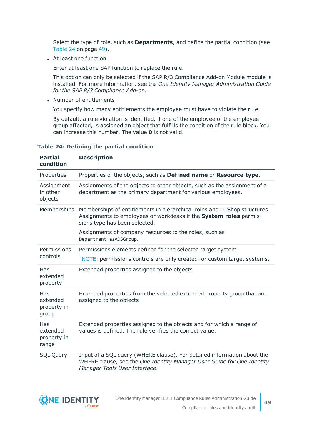Select the type of role, such as **Departments**, and define the partial condition (see [Table](#page-48-0) 24 on page 49).

• At least one function

Enter at least one SAP function to replace the rule.

This option can only be selected if the SAP R/3 Compliance Add-on Module module is installed. For more information, see the *One Identity Manager Administration Guide for the SAP R/3 Compliance Add-on*.

• Number of entitlements

You specify how many entitlements the employee must have to violate the rule.

By default, a rule violation is identified, if one of the employee of the employee group affected, is assigned an object that fulfills the condition of the rule block. You can increase this number. The value **0** is not valid.

| <b>Partial</b><br>condition             | <b>Description</b>                                                                                                                                                                                                                                                 |
|-----------------------------------------|--------------------------------------------------------------------------------------------------------------------------------------------------------------------------------------------------------------------------------------------------------------------|
| Properties                              | Properties of the objects, such as Defined name or Resource type.                                                                                                                                                                                                  |
| Assignment<br>in other<br>objects       | Assignments of the objects to other objects, such as the assignment of a<br>department as the primary department for various employees.                                                                                                                            |
| Memberships                             | Memberships of entitlements in hierarchical roles and IT Shop structures<br>Assignments to employees or workdesks if the System roles permis-<br>sions type has been selected.<br>Assignments of company resources to the roles, such as<br>DepartmentHasADSGroup. |
| Permissions<br>controls                 | Permissions elements defined for the selected target system<br>NOTE: permissions controls are only created for custom target systems.                                                                                                                              |
| Has<br>extended<br>property             | Extended properties assigned to the objects                                                                                                                                                                                                                        |
| Has<br>extended<br>property in<br>group | Extended properties from the selected extended property group that are<br>assigned to the objects                                                                                                                                                                  |
| Has<br>extended<br>property in<br>range | Extended properties assigned to the objects and for which a range of<br>values is defined. The rule verifies the correct value.                                                                                                                                    |
| <b>SQL Query</b>                        | Input of a SQL query (WHERE clause). For detailed information about the<br>WHERE clause, see the One Identity Manager User Guide for One Identity<br>Manager Tools User Interface.                                                                                 |

#### <span id="page-48-0"></span>**Table 24: Defining the partial condition**

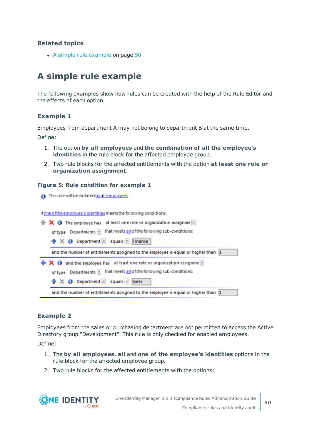• A simple rule [example](#page-49-0) on page 50

## <span id="page-49-0"></span>**A simple rule example**

The following examples show how rules can be created with the help of the Rule Editor and the effects of each option.

### **Example 1**

Employees from department A may not belong to department B at the same time.

Define:

- 1. The option **by all employees** and **the combination of all the employee's identities** in the rule block for the affected employee group.
- 2. Two rule blocks for the affected entitlements with the option **at least one role or organization assignment**.

#### **Figure 5: Rule condition for example 1**

**A** This rule will be violated by all employees

if one of the employee's identities meets the following conditions:



### **Example 2**

Employees from the sales or purchasing department are not permitted to access the Active Directory group "Development". This rule is only checked for enabled employees.

Define:

- 1. The **by all employees**, **all** and **one of the employee's identities** options in the rule block for the affected employee group.
- 2. Two rule blocks for the affected entitlements with the options:

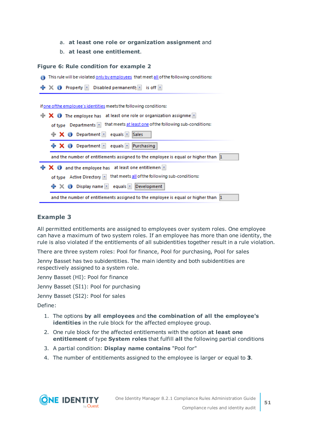- a. **at least one role or organization assignment** and
- b. **at least one entitlement**.

#### **Figure 6: Rule condition for example 2**

This rule will be violated only by employees that meet all of the following conditions:



### **Example 3**

All permitted entitlements are assigned to employees over system roles. One employee can have a maximum of two system roles. If an employee has more than one identity, the rule is also violated if the entitlements of all subidentities together result in a rule violation.

There are three system roles: Pool for finance, Pool for purchasing, Pool for sales

Jenny Basset has two subidentities. The main identity and both subidentities are respectively assigned to a system role.

Jenny Basset (HI): Pool for finance

Jenny Basset (SI1): Pool for purchasing

Jenny Basset (SI2): Pool for sales

Define:

- 1. The options **by all employees** and **the combination of all the employee's identities** in the rule block for the affected employee group.
- 2. One rule block for the affected entitlements with the option **at least one entitlement** of type **System roles** that fulfill **all** the following partial conditions
- 3. A partial condition: **Display name contains** "Pool for"
- 4. The number of entitlements assigned to the employee is larger or equal to **3**.

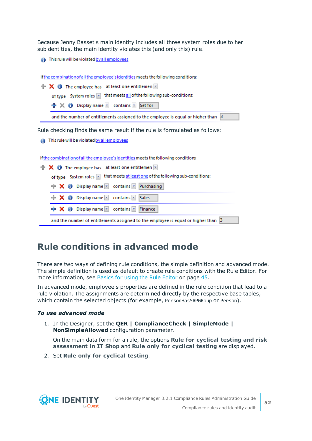Because Jenny Basset's main identity includes all three system roles due to her subidentities, the main identity violates this (and only this) rule.

This rule will be violated by all employees

if the combination of all the employee's identities meets the following conditions:

| $\mathbf{R} \times \mathbf{0}$ The employee has at least one entitlemen                 |
|-----------------------------------------------------------------------------------------|
| of type System roles x that meets all of the following sub-conditions:                  |
| + X O Display name <u>x</u> contains x Set for                                          |
| and the number of entitlements assigned to the employee is equal or higher than $\beta$ |
|                                                                                         |

Rule checking finds the same result if the rule is formulated as follows:

This rule will be violated by all employees

if the combination of all the employee's identities meets the following conditions:

|  | $\mathbf{R} \times \mathbf{0}$ The employee has at least one entitlemen              |                                                                                         |
|--|--------------------------------------------------------------------------------------|-----------------------------------------------------------------------------------------|
|  |                                                                                      | of type System roles x that meets at least one of the following sub-conditions:         |
|  | $\mathbf{X}$ $\mathbf{O}$ Display name $\mathbf{I}$ contains $\mathbf{I}$ Purchasing |                                                                                         |
|  | <b>X</b> O Display name <b>x</b> contains <b>x</b> Sales                             |                                                                                         |
|  | + X + Display name <u>x</u> contains x Finance                                       |                                                                                         |
|  |                                                                                      | and the number of entitlements assigned to the employee is equal or higher than $\beta$ |

## <span id="page-51-0"></span>**Rule conditions in advanced mode**

There are two ways of defining rule conditions, the simple definition and advanced mode. The simple definition is used as default to create rule conditions with the Rule Editor. [For](#page-44-0) more [information,](#page-44-0) see Basics for using the Rule Editor on page 45.

In advanced mode, employee's properties are defined in the rule condition that lead to a rule violation. The assignments are determined directly by the respective base tables, which contain the selected objects (for example, PersonHasSAPGRoup or Person).

#### *To use advanced mode*

1. In the Designer, set the **QER | ComplianceCheck | SimpleMode | NonSimpleAllowed** configuration parameter.

On the main data form for a rule, the options **Rule for cyclical testing and risk assessment in IT Shop** and **Rule only for cyclical testing** are displayed.

2. Set **Rule only for cyclical testing**.

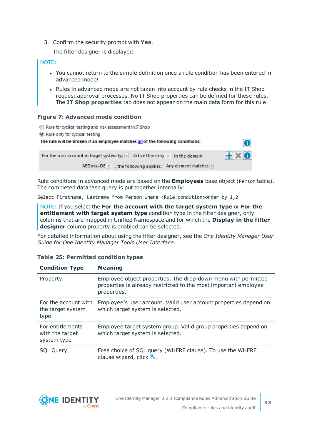3. Confirm the security prompt with **Yes**.

The filter designer is displayed.

### NOTE:

- You cannot return to the simple definition once a rule condition has been entered in advanced mode!
- Rules in advanced mode are not taken into account by rule checks in the IT Shop request approval processes. No IT Shop properties can be defined for these rules. The **IT Shop properties** tab does not appear on the main data form for this rule.

### **Figure 7: Advanced mode condition**

| Rule for cyclical testing and risk assessment in IT Shop                         |              |
|----------------------------------------------------------------------------------|--------------|
| • Rule only for cyclical testing                                                 |              |
| The rule will be broken if an employee matches all of the following conditions:  | m            |
| For the user account in target system typ $x$ Active Directory $x$ in the domain | $H \times 0$ |
| AEDoku-DE $\ x\ $ , the following applies: Any element matches $x$               |              |

Rule conditions in advanced mode are based on the **Employees** base object (Person table). The completed database query is put together internally:

Select Firstname, Lastname from Person where <Rule condition>order by 1,2

NOTE: If you select the **For the account with the target system type** or **For the entitlement with target system type** condition type in the filter designer, only columns that are mapped in Unified Namespace and for which the **Display in the filter designer** column property is enabled can be selected.

For detailed information about using the filter designer, see the *One Identity Manager User Guide for One Identity Manager Tools User Interface*.

| <b>Condition Type</b>                              | <b>Meaning</b>                                                                                                                                  |
|----------------------------------------------------|-------------------------------------------------------------------------------------------------------------------------------------------------|
| Property                                           | Employee object properties. The drop-down menu with permitted<br>properties is already restricted to the most important employee<br>properties. |
| For the account with<br>the target system<br>type  | Employee's user account. Valid user account properties depend on<br>which target system is selected.                                            |
| For entitlements<br>with the target<br>system type | Employee target system group. Valid group properties depend on<br>which target system is selected.                                              |
| <b>SQL Query</b>                                   | Free choice of SQL query (WHERE clause). To use the WHERE<br>clause wizard, click ₹.                                                            |

### **Table 25: Permitted condition types**

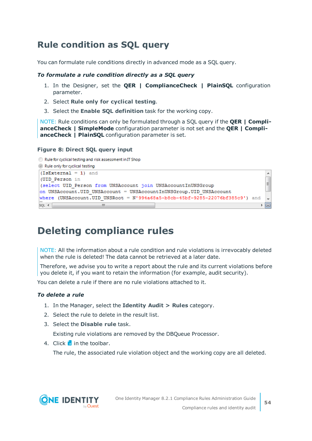## <span id="page-53-0"></span>**Rule condition as SQL query**

You can formulate rule conditions directly in advanced mode as a SQL query.

### *To formulate a rule condition directly as a SQL query*

- 1. In the Designer, set the **QER | ComplianceCheck | PlainSQL** configuration parameter.
- 2. Select **Rule only for cyclical testing**.
- 3. Select the **Enable SQL definition** task for the working copy.

NOTE: Rule conditions can only be formulated through a SQL query if the **QER | ComplianceCheck | SimpleMode** configuration parameter is not set and the **QER | ComplianceCheck | PlainSQL** configuration parameter is set.

### **Figure 8: Direct SQL query input**

```
Rule for cyclical testing and risk assessment in IT Shop
```
Rule only for cyclical testing

```
(IsExternal = 1) and
                                                                                     \blacktriangle(UID Person in
                                                                                     \equiv(select UID Person from UNSAccount join UNSAccountInUNSGroup
on UNSAccount. UID UNSAccount = UNSAccountInUNSGroup. UID UNSAccount
where (UNSAccount.UID UNSRoot = N'994a68a5-b8cb-45bf-9285-22076bf385c9') and
SQL 4m
                                                                                   ▶ 回
```
# **Deleting compliance rules**

NOTE: All the information about a rule condition and rule violations is irrevocably deleted when the rule is deleted! The data cannot be retrieved at a later date.

Therefore, we advise you to write a report about the rule and its current violations before you delete it, if you want to retain the information (for example, audit security).

You can delete a rule if there are no rule violations attached to it.

### *To delete a rule*

- 1. In the Manager, select the **Identity Audit > Rules** category.
- 2. Select the rule to delete in the result list.
- 3. Select the **Disable rule** task.

Existing rule violations are removed by the DBQueue Processor.

4. Click  $\frac{1}{2}$  in the toolbar.

The rule, the associated rule violation object and the working copy are all deleted.

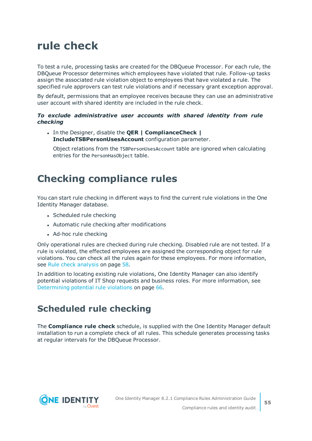# **rule check**

To test a rule, processing tasks are created for the DBQueue Processor. For each rule, the DBQueue Processor determines which employees have violated that rule. Follow-up tasks assign the associated rule violation object to employees that have violated a rule. The specified rule approvers can test rule violations and if necessary grant exception approval.

By default, permissions that an employee receives because they can use an administrative user account with shared identity are included in the rule check.

### *To exclude administrative user accounts with shared identity from rule checking*

<sup>l</sup> In the Designer, disable the **QER | ComplianceCheck | IncludeTSBPersonUsesAccount** configuration parameter.

Object relations from the TSBPersonUsesAccount table are ignored when calculating entries for the PersonHasObject table.

## <span id="page-54-0"></span>**Checking compliance rules**

You can start rule checking in different ways to find the current rule violations in the One Identity Manager database.

- Scheduled rule checking
- Automatic rule checking after modifications
- Ad-hoc rule checking

Only operational rules are checked during rule checking. Disabled rule are not tested. If a rule is violated, the effected employees are assigned the corresponding object for rule violations. You can check all the rules again for these employees. For more [information,](#page-57-0) see Rule check [analysis](#page-57-0) on page 58.

In addition to locating existing rule violations, One Identity Manager can also identify potential violations of IT Shop requests and business roles. For more [information,](#page-65-0) see [Determining](#page-65-0) potential rule violations on page 66.

### **Scheduled rule checking**

The **Compliance rule check** schedule, is supplied with the One Identity Manager default installation to run a complete check of all rules. This schedule generates processing tasks at regular intervals for the DBQueue Processor.

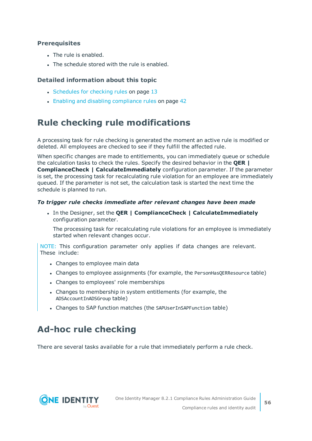### **Prerequisites**

- The rule is enabled.
- The schedule stored with the rule is enabled.

### **Detailed information about this topic**

- [Schedules](#page-12-0) for checking rules on page 13
- Enabling and disabling [compliance](#page-41-0) rules on page 42

### **Rule checking rule modifications**

A processing task for rule checking is generated the moment an active rule is modified or deleted. All employees are checked to see if they fulfill the affected rule.

When specific changes are made to entitlements, you can immediately queue or schedule the calculation tasks to check the rules. Specify the desired behavior in the **QER | ComplianceCheck | CalculateImmediately** configuration parameter. If the parameter is set, the processing task for recalculating rule violation for an employee are immediately queued. If the parameter is not set, the calculation task is started the next time the schedule is planned to run.

### *To trigger rule checks immediate after relevant changes have been made*

<sup>l</sup> In the Designer, set the **QER | ComplianceCheck | CalculateImmediately** configuration parameter.

The processing task for recalculating rule violations for an employee is immediately started when relevant changes occur.

NOTE: This configuration parameter only applies if data changes are relevant. These include:

- Changes to employee main data
- Changes to employee assignments (for example, the PersonHasQERResource table)
- Changes to employees' role memberships
- Changes to membership in system entitlements (for example, the ADSAccountInADSGroup table)
- Changes to SAP function matches (the SAPUserInSAPFunction table)

## **Ad-hoc rule checking**

There are several tasks available for a rule that immediately perform a rule check.

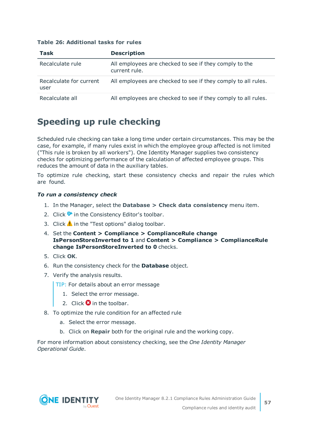| Task                            | <b>Description</b>                                                      |
|---------------------------------|-------------------------------------------------------------------------|
| Recalculate rule                | All employees are checked to see if they comply to the<br>current rule. |
| Recalculate for current<br>user | All employees are checked to see if they comply to all rules.           |
| Recalculate all                 | All employees are checked to see if they comply to all rules.           |

### **Table 26: Additional tasks for rules**

## **Speeding up rule checking**

Scheduled rule checking can take a long time under certain circumstances. This may be the case, for example, if many rules exist in which the employee group affected is not limited ("This rule is broken by all workers"). One Identity Manager supplies two consistency checks for optimizing performance of the calculation of affected employee groups. This reduces the amount of data in the auxiliary tables.

To optimize rule checking, start these consistency checks and repair the rules which are found.

### *To run a consistency check*

- 1. In the Manager, select the **Database > Check data consistency** menu item.
- 2. Click  $\bullet$  in the Consistency Editor's toolbar.
- 3. Click  $\triangle$  in the "Test options" dialog toolbar.
- 4. Set the **Content > Compliance > ComplianceRule change IsPersonStoreInverted to 1** and **Content > Compliance > ComplianceRule change IsPersonStoreInverted to 0** checks.
- 5. Click **OK**.
- 6. Run the consistency check for the **Database** object.
- 7. Verify the analysis results.
	- TIP: For details about an error message
		- 1. Select the error message.
		- 2. Click  $\mathbf{\Omega}$  in the toolbar.
- 8. To optimize the rule condition for an affected rule
	- a. Select the error message.
	- b. Click on **Repair** both for the original rule and the working copy.

For more information about consistency checking, see the *One Identity Manager Operational Guide*.

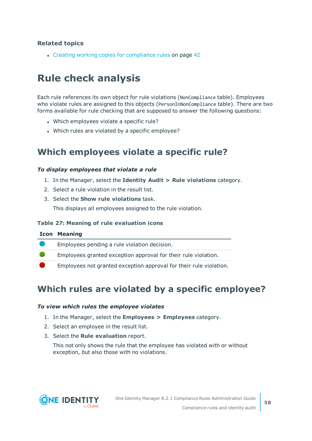• Creating working copies for [compliance](#page-41-1) rules on page 42

# <span id="page-57-0"></span>**Rule check analysis**

Each rule references its own object for rule violations (NonCompliance table). Employees who violate rules are assigned to this objects (PersonInNonCompliance table). There are two forms available for rule checking that are supposed to answer the following questions:

- Which employees violate a specific rule?
- Which rules are violated by a specific employee?

### <span id="page-57-2"></span>**Which employees violate a specific rule?**

### *To display employees that violate a rule*

- 1. In the Manager, select the **Identity Audit > Rule violations** category.
- 2. Select a rule violation in the result list.
- 3. Select the **Show rule violations** task.

This displays all employees assigned to the rule violation.

### **Table 27: Meaning of rule evaluation icons**

| <b>Icon Meaning</b>                                                |
|--------------------------------------------------------------------|
| Employees pending a rule violation decision.                       |
| Employees granted exception approval for their rule violation.     |
| Employees not granted exception approval for their rule violation. |
|                                                                    |

### <span id="page-57-1"></span>**Which rules are violated by a specific employee?**

### *To view which rules the employee violates*

- 1. In the Manager, select the **Employees > Employees** category.
- 2. Select an employee in the result list.
- 3. Select the **Rule evaluation** report.

This not only shows the rule that the employee has violated with or without exception, but also those with no violations.



**58**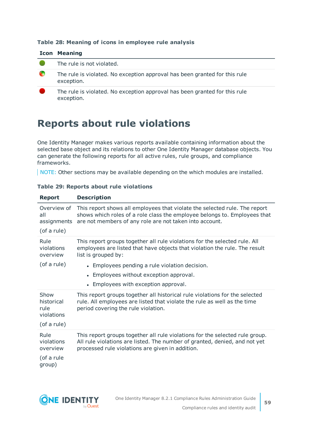### **Table 28: Meaning of icons in employee rule analysis**

|   | <b>Icon Meaning</b>                                                                      |
|---|------------------------------------------------------------------------------------------|
|   | The rule is not violated.                                                                |
| œ | The rule is violated. No exception approval has been granted for this rule<br>exception. |
|   | The rule is violated. No exception approval has been granted for this rule<br>exception. |

## **Reports about rule violations**

One Identity Manager makes various reports available containing information about the selected base object and its relations to other One Identity Manager database objects. You can generate the following reports for all active rules, rule groups, and compliance frameworks.

NOTE: Other sections may be available depending on the which modules are installed.

| <b>Report</b>                                           | <b>Description</b>                                                                                                                                                                                                                                                                                                   |
|---------------------------------------------------------|----------------------------------------------------------------------------------------------------------------------------------------------------------------------------------------------------------------------------------------------------------------------------------------------------------------------|
| Overview of<br>all<br>assignments<br>(of a rule)        | This report shows all employees that violate the selected rule. The report<br>shows which roles of a role class the employee belongs to. Employees that<br>are not members of any role are not taken into account.                                                                                                   |
| Rule<br>violations<br>overview<br>(of a rule)           | This report groups together all rule violations for the selected rule. All<br>employees are listed that have objects that violation the rule. The result<br>list is grouped by:<br>• Employees pending a rule violation decision.<br>• Employees without exception approval.<br>• Employees with exception approval. |
| Show<br>historical<br>rule<br>violations<br>(of a rule) | This report groups together all historical rule violations for the selected<br>rule. All employees are listed that violate the rule as well as the time<br>period covering the rule violation.                                                                                                                       |
| Rule<br>violations<br>overview<br>(of a rule<br>group)  | This report groups together all rule violations for the selected rule group.<br>All rule violations are listed. The number of granted, denied, and not yet<br>processed rule violations are given in addition.                                                                                                       |

### **Table 29: Reports about rule violations**

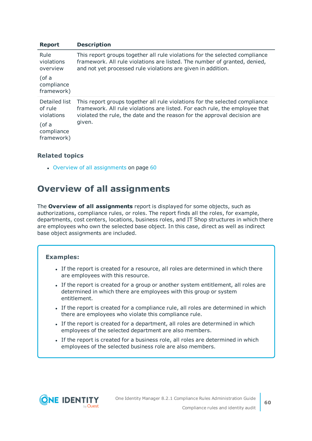| <b>Report</b>                          | <b>Description</b>                                                                                                                                                                                                                     |
|----------------------------------------|----------------------------------------------------------------------------------------------------------------------------------------------------------------------------------------------------------------------------------------|
| Rule<br>violations<br>overview         | This report groups together all rule violations for the selected compliance<br>framework. All rule violations are listed. The number of granted, denied,<br>and not yet processed rule violations are given in addition.               |
| (of a<br>compliance<br>framework)      |                                                                                                                                                                                                                                        |
| Detailed list<br>of rule<br>violations | This report groups together all rule violations for the selected compliance<br>framework. All rule violations are listed. For each rule, the employee that<br>violated the rule, the date and the reason for the approval decision are |
| (of a<br>compliance<br>framework)      | given.                                                                                                                                                                                                                                 |

• Overview of all [assignments](#page-59-0) on page 60

### <span id="page-59-0"></span>**Overview of all assignments**

The **Overview of all assignments** report is displayed for some objects, such as authorizations, compliance rules, or roles. The report finds all the roles, for example, departments, cost centers, locations, business roles, and IT Shop structures in which there are employees who own the selected base object. In this case, direct as well as indirect base object assignments are included.

### **Examples:**

- If the report is created for a resource, all roles are determined in which there are employees with this resource.
- If the report is created for a group or another system entitlement, all roles are determined in which there are employees with this group or system entitlement.
- If the report is created for a compliance rule, all roles are determined in which there are employees who violate this compliance rule.
- If the report is created for a department, all roles are determined in which employees of the selected department are also members.
- If the report is created for a business role, all roles are determined in which employees of the selected business role are also members.

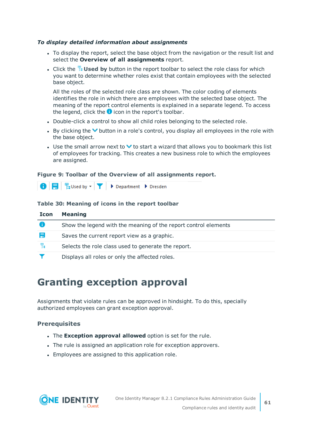### *To display detailed information about assignments*

- To display the report, select the base object from the navigation or the result list and select the **Overview of all assignments** report.
- If Click the  $\frac{10}{15}$  Used by button in the report toolbar to select the role class for which you want to determine whether roles exist that contain employees with the selected base object.

All the roles of the selected role class are shown. The color coding of elements identifies the role in which there are employees with the selected base object. The meaning of the report control elements is explained in a separate legend. To access the legend, click the  $\bullet$  icon in the report's toolbar.

- Double-click a control to show all child roles belonging to the selected role.
- By clicking the  $\vee$  button in a role's control, you display all employees in the role with the base object.
- Use the small arrow next to  $\vee$  to start a wizard that allows you to bookmark this list of employees for tracking. This creates a new business role to which the employees are assigned.

### **Figure 9: Toolbar of the Overview of all assignments report.**



### **Table 30: Meaning of icons in the report toolbar**

| <b>Icon</b> | <b>Meaning</b>                                                  |
|-------------|-----------------------------------------------------------------|
| o           | Show the legend with the meaning of the report control elements |
| E           | Saves the current report view as a graphic.                     |
| 뭠           | Selects the role class used to generate the report.             |
|             | Displays all roles or only the affected roles.                  |

## **Granting exception approval**

Assignments that violate rules can be approved in hindsight. To do this, specially authorized employees can grant exception approval.

### **Prerequisites**

- <sup>l</sup> The **Exception approval allowed** option is set for the rule.
- The rule is assigned an application role for exception approvers.
- Employees are assigned to this application role.

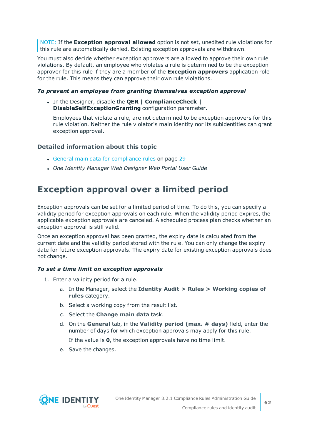NOTE: If the **Exception approval allowed** option is not set, unedited rule violations for this rule are automatically denied. Existing exception approvals are withdrawn.

You must also decide whether exception approvers are allowed to approve their own rule violations. By default, an employee who violates a rule is determined to be the exception approver for this rule if they are a member of the **Exception approvers** application role for the rule. This means they can approve their own rule violations.

### *To prevent an employee from granting themselves exception approval*

<sup>l</sup> In the Designer, disable the **QER | ComplianceCheck | DisableSelfExceptionGranting** configuration parameter.

Employees that violate a rule, are not determined to be exception approvers for this rule violation. Neither the rule violator's main identity nor its subidentities can grant exception approval.

### **Detailed information about this topic**

- General main data for [compliance](#page-28-0) rules on page 29
- <sup>l</sup> *One Identity Manager Web Designer Web Portal User Guide*

### **Exception approval over a limited period**

Exception approvals can be set for a limited period of time. To do this, you can specify a validity period for exception approvals on each rule. When the validity period expires, the applicable exception approvals are canceled. A scheduled process plan checks whether an exception approval is still valid.

Once an exception approval has been granted, the expiry date is calculated from the current date and the validity period stored with the rule. You can only change the expiry date for future exception approvals. The expiry date for existing exception approvals does not change.

### *To set a time limit on exception approvals*

- 1. Enter a validity period for a rule.
	- a. In the Manager, select the **Identity Audit > Rules > Working copies of rules** category.
	- b. Select a working copy from the result list.
	- c. Select the **Change main data** task.
	- d. On the **General** tab, in the **Validity period (max. # days)** field, enter the number of days for which exception approvals may apply for this rule.

If the value is **0**, the exception approvals have no time limit.

e. Save the changes.

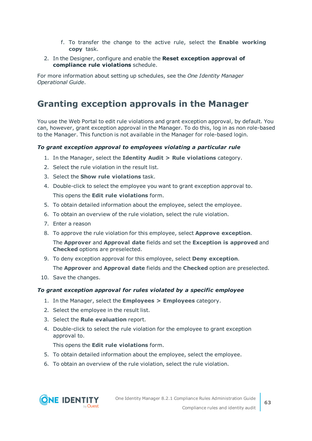- f. To transfer the change to the active rule, select the **Enable working copy** task.
- 2. In the Designer, configure and enable the **Reset exception approval of compliance rule violations** schedule.

For more information about setting up schedules, see the *One Identity Manager Operational Guide*.

### **Granting exception approvals in the Manager**

You use the Web Portal to edit rule violations and grant exception approval, by default. You can, however, grant exception approval in the Manager. To do this, log in as non role-based to the Manager. This function is not available in the Manager for role-based login.

### *To grant exception approval to employees violating a particular rule*

- 1. In the Manager, select the **Identity Audit > Rule violations** category.
- 2. Select the rule violation in the result list.
- 3. Select the **Show rule violations** task.
- 4. Double-click to select the employee you want to grant exception approval to. This opens the **Edit rule violations** form.
- 5. To obtain detailed information about the employee, select the employee.
- 6. To obtain an overview of the rule violation, select the rule violation.
- 7. Enter a reason
- 8. To approve the rule violation for this employee, select **Approve exception**.

The **Approver** and **Approval date** fields and set the **Exception is approved** and **Checked** options are preselected.

9. To deny exception approval for this employee, select **Deny exception**.

The **Approver** and **Approval date** fields and the **Checked** option are preselected.

10. Save the changes.

### *To grant exception approval for rules violated by a specific employee*

- 1. In the Manager, select the **Employees > Employees** category.
- 2. Select the employee in the result list.
- 3. Select the **Rule evaluation** report.
- 4. Double-click to select the rule violation for the employee to grant exception approval to.

This opens the **Edit rule violations** form.

- 5. To obtain detailed information about the employee, select the employee.
- 6. To obtain an overview of the rule violation, select the rule violation.

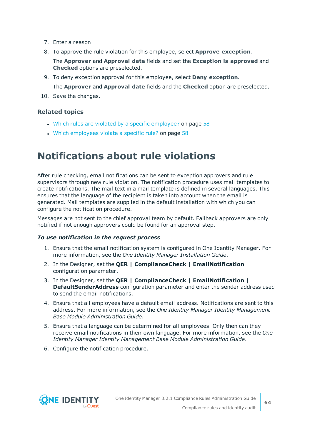- 7. Enter a reason
- 8. To approve the rule violation for this employee, select **Approve exception**.
	- The **Approver** and **Approval date** fields and set the **Exception is approved** and **Checked** options are preselected.
- 9. To deny exception approval for this employee, select **Deny exception**.

The **Approver** and **Approval date** fields and the **Checked** option are preselected.

10. Save the changes.

### **Related topics**

- $\bullet$  Which rules are violated by a specific [employee?](#page-57-1) on page 58
- Which [employees](#page-57-2) violate a specific rule? on page 58

## **Notifications about rule violations**

After rule checking, email notifications can be sent to exception approvers and rule supervisors through new rule violation. The notification procedure uses mail templates to create notifications. The mail text in a mail template is defined in several languages. This ensures that the language of the recipient is taken into account when the email is generated. Mail templates are supplied in the default installation with which you can configure the notification procedure.

Messages are not sent to the chief approval team by default. Fallback approvers are only notified if not enough approvers could be found for an approval step.

#### *To use notification in the request process*

- 1. Ensure that the email notification system is configured in One Identity Manager. For more information, see the *One Identity Manager Installation Guide*.
- 2. In the Designer, set the **QER | ComplianceCheck | EmailNotification** configuration parameter.
- 3. In the Designer, set the **QER | ComplianceCheck | EmailNotification | DefaultSenderAddress** configuration parameter and enter the sender address used to send the email notifications.
- 4. Ensure that all employees have a default email address. Notifications are sent to this address. For more information, see the *One Identity Manager Identity Management Base Module Administration Guide*.
- 5. Ensure that a language can be determined for all employees. Only then can they receive email notifications in their own language. For more information, see the *One Identity Manager Identity Management Base Module Administration Guide*.
- 6. Configure the notification procedure.

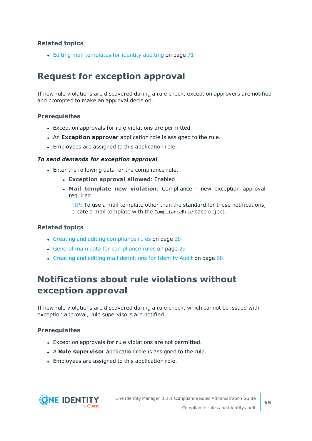$\bullet$  Editing mail [templates](#page-70-0) for identity auditing on page 71

### **Request for exception approval**

If new rule violations are discovered during a rule check, exception approvers are notified and prompted to make an approval decision.

### **Prerequisites**

- Exception approvals for rule violations are permitted.
- **An Exception approver** application role is assigned to the rule.
- Employees are assigned to this application role.

#### *To send demands for exception approval*

- Enter the following data for the compliance rule.
	- <sup>l</sup> **Exception approval allowed**: Enabled
	- <sup>l</sup> **Mail template new violation**: Compliance new exception approval required

TIP: To use a mail template other than the standard for these notifications, create a mail template with the ComplianceRule base object.

### **Related topics**

- Creating and editing [compliance](#page-27-0) rules on page 28
- General main data for [compliance](#page-28-0) rules on page 29
- Creating and editing mail [definitions](#page-67-0) for Identity Audit on page 68

### **Notifications about rule violations without exception approval**

If new rule violations are discovered during a rule check, which cannot be issued with exception approval, rule supervisors are notified.

### **Prerequisites**

- Exception approvals for rule violations are not permitted.
- **A Rule supervisor** application role is assigned to the rule.
- Employees are assigned to this application role.

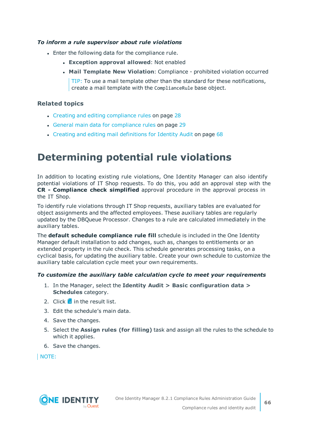### *To inform a rule supervisor about rule violations*

- Enter the following data for the compliance rule.
	- <sup>l</sup> **Exception approval allowed**: Not enabled
	- <sup>l</sup> **Mail Template New Violation**: Compliance prohibited violation occurred

TIP: To use a mail template other than the standard for these notifications, create a mail template with the ComplianceRule base object.

### **Related topics**

- Creating and editing [compliance](#page-27-0) rules on page 28
- General main data for [compliance](#page-28-0) rules on page 29
- Creating and editing mail [definitions](#page-67-0) for Identity Audit on page 68

# <span id="page-65-0"></span>**Determining potential rule violations**

In addition to locating existing rule violations, One Identity Manager can also identify potential violations of IT Shop requests. To do this, you add an approval step with the **CR - Compliance check simplified** approval procedure in the approval process in the IT Shop.

To identify rule violations through IT Shop requests, auxiliary tables are evaluated for object assignments and the affected employees. These auxiliary tables are regularly updated by the DBQueue Processor. Changes to a rule are calculated immediately in the auxiliary tables.

The **default schedule compliance rule fill** schedule is included in the One Identity Manager default installation to add changes, such as, changes to entitlements or an extended property in the rule check. This schedule generates processing tasks, on a cyclical basis, for updating the auxiliary table. Create your own schedule to customize the auxiliary table calculation cycle meet your own requirements.

#### *To customize the auxiliary table calculation cycle to meet your requirements*

- 1. In the Manager, select the **Identity Audit > Basic configuration data > Schedules** category.
- 2. Click  $\frac{1}{2}$  in the result list.
- 3. Edit the schedule's main data.
- 4. Save the changes.
- 5. Select the **Assign rules (for filling)** task and assign all the rules to the schedule to which it applies.
- 6. Save the changes.

NOTE:

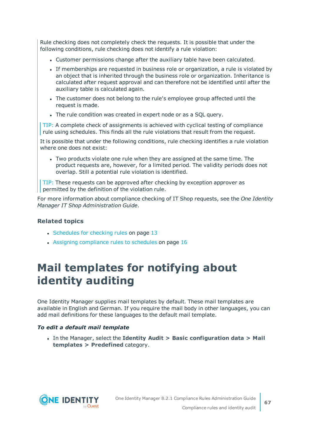Rule checking does not completely check the requests. It is possible that under the following conditions, rule checking does not identify a rule violation:

- Customer permissions change after the auxiliary table have been calculated.
- If memberships are requested in business role or organization, a rule is violated by an object that is inherited through the business role or organization. Inheritance is calculated after request approval and can therefore not be identified until after the auxiliary table is calculated again.
- The customer does not belong to the rule's employee group affected until the request is made.
- The rule condition was created in expert node or as a SQL query.

TIP: A complete check of assignments is achieved with cyclical testing of compliance rule using schedules. This finds all the rule violations that result from the request.

It is possible that under the following conditions, rule checking identifies a rule violation where one does not exist:

• Two products violate one rule when they are assigned at the same time. The product requests are, however, for a limited period. The validity periods does not overlap. Still a potential rule violation is identified.

TIP: These requests can be approved after checking by exception approver as permitted by the definition of the violation rule.

For more information about compliance checking of IT Shop requests, see the *One Identity Manager IT Shop Administration Guide*.

### **Related topics**

- [Schedules](#page-12-0) for checking rules on page 13
- $\cdot$  Assigning [compliance](#page-15-0) rules to schedules on page 16

# **Mail templates for notifying about identity auditing**

One Identity Manager supplies mail templates by default. These mail templates are available in English and German. If you require the mail body in other languages, you can add mail definitions for these languages to the default mail template.

### *To edit a default mail template*

<sup>l</sup> In the Manager, select the **Identity Audit > Basic configuration data > Mail templates > Predefined** category.

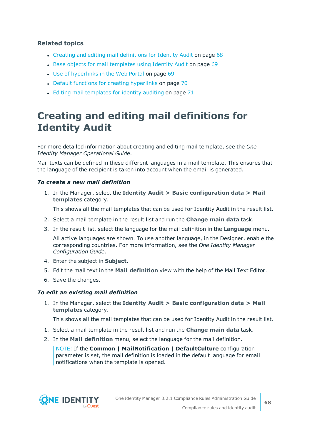- Creating and editing mail [definitions](#page-67-0) for Identity Audit on page 68
- Base objects for mail [templates](#page-68-0) using Identity Audit on page 69
- Use of [hyperlinks](#page-68-1) in the Web Portal on page 69
- Default functions for creating [hyperlinks](#page-69-0) on page 70
- $\cdot$  Editing mail [templates](#page-70-0) for identity auditing on page 71

# <span id="page-67-0"></span>**Creating and editing mail definitions for Identity Audit**

For more detailed information about creating and editing mail template, see the *One Identity Manager Operational Guide*.

Mail texts can be defined in these different languages in a mail template. This ensures that the language of the recipient is taken into account when the email is generated.

### *To create a new mail definition*

1. In the Manager, select the **Identity Audit > Basic configuration data > Mail templates** category.

This shows all the mail templates that can be used for Identity Audit in the result list.

- 2. Select a mail template in the result list and run the **Change main data** task.
- 3. In the result list, select the language for the mail definition in the **Language** menu.

All active languages are shown. To use another language, in the Designer, enable the corresponding countries. For more information, see the *One Identity Manager Configuration Guide*.

- 4. Enter the subject in **Subject**.
- 5. Edit the mail text in the **Mail definition** view with the help of the Mail Text Editor.
- 6. Save the changes.

### *To edit an existing mail definition*

1. In the Manager, select the **Identity Audit > Basic configuration data > Mail templates** category.

This shows all the mail templates that can be used for Identity Audit in the result list.

- 1. Select a mail template in the result list and run the **Change main data** task.
- 2. In the **Mail definition** menu, select the language for the mail definition.

NOTE: If the **Common | MailNotification | DefaultCulture** configuration parameter is set, the mail definition is loaded in the default language for email notifications when the template is opened.

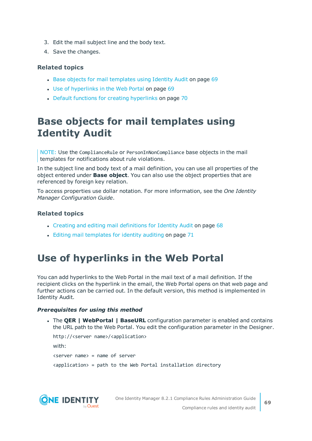- 3. Edit the mail subject line and the body text.
- 4. Save the changes.

- Base objects for mail [templates](#page-68-0) using Identity Audit on page 69
- Use of [hyperlinks](#page-68-1) in the Web Portal on page 69
- Default functions for creating [hyperlinks](#page-69-0) on page 70

# <span id="page-68-0"></span>**Base objects for mail templates using Identity Audit**

NOTE: Use the ComplianceRule or PersonInNonCompliance base objects in the mail templates for notifications about rule violations.

In the subject line and body text of a mail definition, you can use all properties of the object entered under **Base object**. You can also use the object properties that are referenced by foreign key relation.

To access properties use dollar notation. For more information, see the *One Identity Manager Configuration Guide*.

### **Related topics**

- Creating and editing mail [definitions](#page-67-0) for Identity Audit on page 68
- Editing mail [templates](#page-70-0) for identity auditing on page 71

# <span id="page-68-1"></span>**Use of hyperlinks in the Web Portal**

You can add hyperlinks to the Web Portal in the mail text of a mail definition. If the recipient clicks on the hyperlink in the email, the Web Portal opens on that web page and further actions can be carried out. In the default version, this method is implemented in Identity Audit.

### *Prerequisites for using this method*

<sup>l</sup> The **QER | WebPortal | BaseURL** configuration parameter is enabled and contains the URL path to the Web Portal. You edit the configuration parameter in the Designer.

```
http://<server name>/<application>
with:
<server name> = name of server
<application> = path to the Web Portal installation directory
```
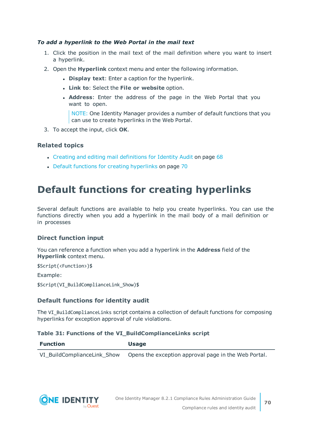### *To add a hyperlink to the Web Portal in the mail text*

- 1. Click the position in the mail text of the mail definition where you want to insert a hyperlink.
- 2. Open the **Hyperlink** context menu and enter the following information.
	- **.** Display text: Enter a caption for the hyperlink.
	- <sup>l</sup> **Link to**: Select the **File or website** option.
	- <sup>l</sup> **Address**: Enter the address of the page in the Web Portal that you want to open.

NOTE: One Identity Manager provides a number of default functions that you can use to create hyperlinks in the Web Portal.

3. To accept the input, click **OK**.

### **Related topics**

- Creating and editing mail [definitions](#page-67-0) for Identity Audit on page 68
- Default functions for creating [hyperlinks](#page-69-0) on page 70

# <span id="page-69-0"></span>**Default functions for creating hyperlinks**

Several default functions are available to help you create hyperlinks. You can use the functions directly when you add a hyperlink in the mail body of a mail definition or in processes

### **Direct function input**

You can reference a function when you add a hyperlink in the **Address** field of the **Hyperlink** context menu.

\$Script(<Function>)\$

Example:

\$Script(VI\_BuildComplianceLink\_Show)\$

### **Default functions for identity audit**

The VI\_BuildComplianceLinks script contains a collection of default functions for composing hyperlinks for exception approval of rule violations.

#### **Table 31: Functions of the VI\_BuildComplianceLinks script**

| Function                    | <b>Usage</b>                                         |  |
|-----------------------------|------------------------------------------------------|--|
| VI_BuildComplianceLink Show | Opens the exception approval page in the Web Portal. |  |

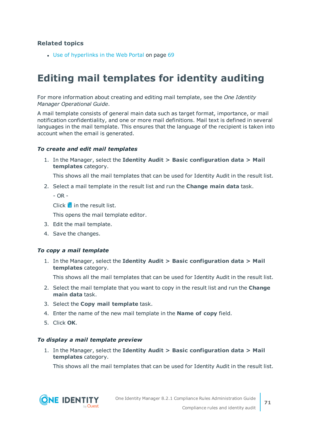• Use of [hyperlinks](#page-68-1) in the Web Portal on page 69

## <span id="page-70-0"></span>**Editing mail templates for identity auditing**

For more information about creating and editing mail template, see the *One Identity Manager Operational Guide*.

A mail template consists of general main data such as target format, importance, or mail notification confidentiality, and one or more mail definitions. Mail text is defined in several languages in the mail template. This ensures that the language of the recipient is taken into account when the email is generated.

#### *To create and edit mail templates*

1. In the Manager, select the **Identity Audit > Basic configuration data > Mail templates** category.

This shows all the mail templates that can be used for Identity Audit in the result list.

2. Select a mail template in the result list and run the **Change main data** task.

 $- OR -$ 

Click  $\mathbf{f}$  in the result list.

This opens the mail template editor.

- 3. Edit the mail template.
- 4. Save the changes.

#### *To copy a mail template*

1. In the Manager, select the **Identity Audit > Basic configuration data > Mail templates** category.

This shows all the mail templates that can be used for Identity Audit in the result list.

- 2. Select the mail template that you want to copy in the result list and run the **Change main data** task.
- 3. Select the **Copy mail template** task.
- 4. Enter the name of the new mail template in the **Name of copy** field.
- 5. Click **OK**.

#### *To display a mail template preview*

1. In the Manager, select the **Identity Audit > Basic configuration data > Mail templates** category.

This shows all the mail templates that can be used for Identity Audit in the result list.

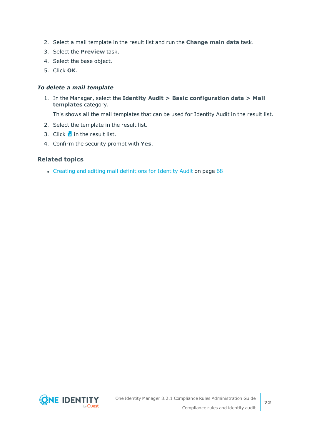- 2. Select a mail template in the result list and run the **Change main data** task.
- 3. Select the **Preview** task.
- 4. Select the base object.
- 5. Click **OK**.

### *To delete a mail template*

1. In the Manager, select the **Identity Audit > Basic configuration data > Mail templates** category.

This shows all the mail templates that can be used for Identity Audit in the result list.

- 2. Select the template in the result list.
- 3. Click  $\mathbf{\hat{x}}$  in the result list.
- 4. Confirm the security prompt with **Yes**.

### **Related topics**

• Creating and editing mail [definitions](#page-67-0) for Identity Audit on page 68

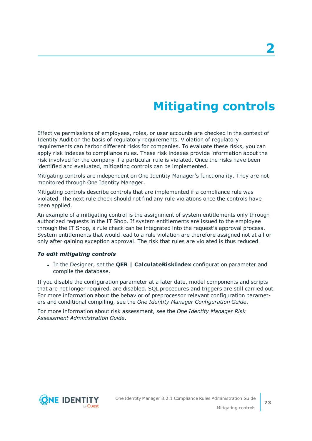# **Mitigating controls**

<span id="page-72-0"></span>Effective permissions of employees, roles, or user accounts are checked in the context of Identity Audit on the basis of regulatory requirements. Violation of regulatory requirements can harbor different risks for companies. To evaluate these risks, you can apply risk indexes to compliance rules. These risk indexes provide information about the risk involved for the company if a particular rule is violated. Once the risks have been identified and evaluated, mitigating controls can be implemented.

Mitigating controls are independent on One Identity Manager's functionality. They are not monitored through One Identity Manager.

Mitigating controls describe controls that are implemented if a compliance rule was violated. The next rule check should not find any rule violations once the controls have been applied.

An example of a mitigating control is the assignment of system entitlements only through authorized requests in the IT Shop. If system entitlements are issued to the employee through the IT Shop, a rule check can be integrated into the request's approval process. System entitlements that would lead to a rule violation are therefore assigned not at all or only after gaining exception approval. The risk that rules are violated is thus reduced.

### *To edit mitigating controls*

<sup>l</sup> In the Designer, set the **QER | CalculateRiskIndex** configuration parameter and compile the database.

If you disable the configuration parameter at a later date, model components and scripts that are not longer required, are disabled. SQL procedures and triggers are still carried out. For more information about the behavior of preprocessor relevant configuration parameters and conditional compiling, see the *One Identity Manager Configuration Guide*.

For more information about risk assessment, see the *One Identity Manager Risk Assessment Administration Guide*.

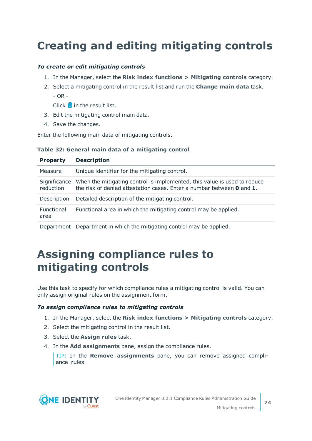# <span id="page-73-1"></span>**Creating and editing mitigating controls**

### *To create or edit mitigating controls*

- 1. In the Manager, select the **Risk index functions > Mitigating controls** category.
- 2. Select a mitigating control in the result list and run the **Change main data** task.  $-$  OR  $-$

Click  $\mathbf{1}$  in the result list.

- 3. Edit the mitigating control main data.
- 4. Save the changes.

Enter the following main data of mitigating controls.

### **Table 32: General main data of a mitigating control**

| <b>Property</b>           | <b>Description</b>                                                                                                                                               |
|---------------------------|------------------------------------------------------------------------------------------------------------------------------------------------------------------|
| Measure                   | Unique identifier for the mitigating control.                                                                                                                    |
| Significance<br>reduction | When the mitigating control is implemented, this value is used to reduce<br>the risk of denied attestation cases. Enter a number between <b>0</b> and <b>1</b> . |
| Description               | Detailed description of the mitigating control.                                                                                                                  |
| Functional<br>area        | Functional area in which the mitigating control may be applied.                                                                                                  |
|                           | Department Department in which the mitigating control may be applied.                                                                                            |

## <span id="page-73-0"></span>**Assigning compliance rules to mitigating controls**

Use this task to specify for which compliance rules a mitigating control is valid. You can only assign original rules on the assignment form.

### *To assign compliance rules to mitigating controls*

- 1. In the Manager, select the **Risk index functions > Mitigating controls** category.
- 2. Select the mitigating control in the result list.
- 3. Select the **Assign rules** task.
- 4. In the **Add assignments** pane, assign the compliance rules.

TIP: In the **Remove assignments** pane, you can remove assigned compliance rules.

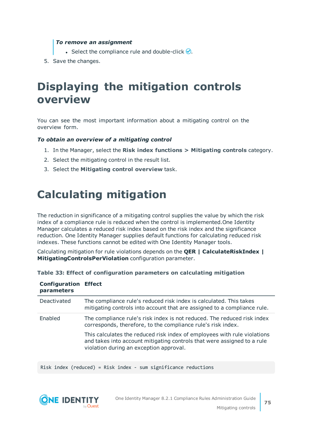#### *To remove an assignment*

- Select the compliance rule and double-click  $\bigcirc$ .
- <span id="page-74-0"></span>5. Save the changes.

## **Displaying the mitigation controls overview**

You can see the most important information about a mitigating control on the overview form.

#### *To obtain an overview of a mitigating control*

- 1. In the Manager, select the **Risk index functions > Mitigating controls** category.
- 2. Select the mitigating control in the result list.
- <span id="page-74-1"></span>3. Select the **Mitigating control overview** task.

## **Calculating mitigation**

The reduction in significance of a mitigating control supplies the value by which the risk index of a compliance rule is reduced when the control is implemented.One Identity Manager calculates a reduced risk index based on the risk index and the significance reduction. One Identity Manager supplies default functions for calculating reduced risk indexes. These functions cannot be edited with One Identity Manager tools.

Calculating mitigation for rule violations depends on the **QER | CalculateRiskIndex | MitigatingControlsPerViolation** configuration parameter.

| <b>Configuration Effect</b><br>parameters |                                                                                                                                                                                                |
|-------------------------------------------|------------------------------------------------------------------------------------------------------------------------------------------------------------------------------------------------|
| Deactivated                               | The compliance rule's reduced risk index is calculated. This takes<br>mitigating controls into account that are assigned to a compliance rule.                                                 |
| Enabled                                   | The compliance rule's risk index is not reduced. The reduced risk index<br>corresponds, therefore, to the compliance rule's risk index.                                                        |
|                                           | This calculates the reduced risk index of employees with rule violations<br>and takes into account mitigating controls that were assigned to a rule<br>violation during an exception approval. |

| Table 33: Effect of configuration parameters on calculating mitigation |  |  |  |  |
|------------------------------------------------------------------------|--|--|--|--|
|------------------------------------------------------------------------|--|--|--|--|

Risk index (reduced) = Risk index - sum significance reductions



**75**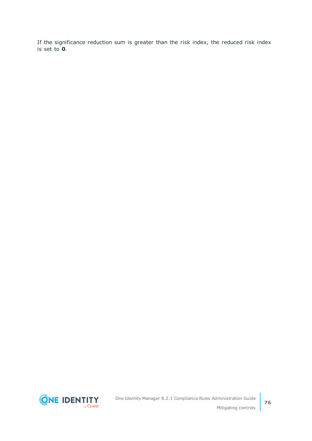If the significance reduction sum is greater than the risk index, the reduced risk index is set to **0**.

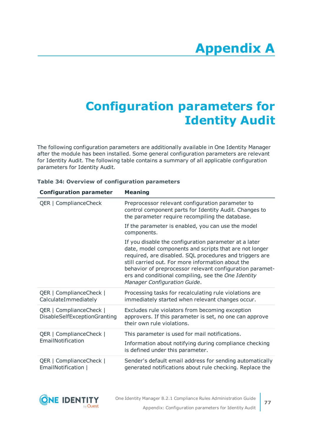# **Appendix:Configuration parameters for Identity Audit**

The following configuration parameters are additionally available in One Identity Manager after the module has been installed. Some general configuration parameters are relevant for Identity Audit. The following table contains a summary of all applicable configuration parameters for Identity Audit.

| <b>Configuration parameter</b>                          | <b>Meaning</b>                                                                                                                                                                                                                                                                                                                                                                     |  |  |
|---------------------------------------------------------|------------------------------------------------------------------------------------------------------------------------------------------------------------------------------------------------------------------------------------------------------------------------------------------------------------------------------------------------------------------------------------|--|--|
| QER   ComplianceCheck                                   | Preprocessor relevant configuration parameter to<br>control component parts for Identity Audit. Changes to<br>the parameter require recompiling the database.                                                                                                                                                                                                                      |  |  |
|                                                         | If the parameter is enabled, you can use the model<br>components.                                                                                                                                                                                                                                                                                                                  |  |  |
|                                                         | If you disable the configuration parameter at a later<br>date, model components and scripts that are not longer<br>required, are disabled. SQL procedures and triggers are<br>still carried out. For more information about the<br>behavior of preprocessor relevant configuration paramet-<br>ers and conditional compiling, see the One Identity<br>Manager Configuration Guide. |  |  |
| QER   ComplianceCheck  <br>CalculateImmediately         | Processing tasks for recalculating rule violations are<br>immediately started when relevant changes occur.                                                                                                                                                                                                                                                                         |  |  |
| QER   ComplianceCheck  <br>DisableSelfExceptionGranting | Excludes rule violators from becoming exception<br>approvers. If this parameter is set, no one can approve<br>their own rule violations.                                                                                                                                                                                                                                           |  |  |
| QER   ComplianceCheck                                   | This parameter is used for mail notifications.                                                                                                                                                                                                                                                                                                                                     |  |  |
| EmailNotification                                       | Information about notifying during compliance checking<br>is defined under this parameter.                                                                                                                                                                                                                                                                                         |  |  |
| QER   ComplianceCheck  <br>EmailNotification            | Sender's default email address for sending automatically<br>generated notifications about rule checking. Replace the                                                                                                                                                                                                                                                               |  |  |

### **Table 34: Overview of configuration parameters**

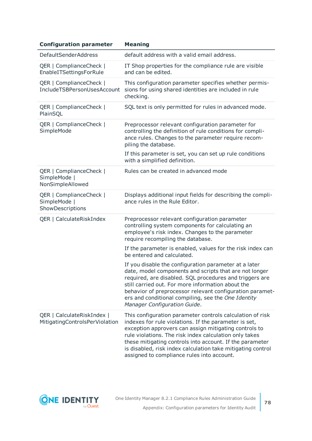| <b>Configuration parameter</b>                               | <b>Meaning</b>                                                                                                                                                                                                                                                                                                                                                                                                 |
|--------------------------------------------------------------|----------------------------------------------------------------------------------------------------------------------------------------------------------------------------------------------------------------------------------------------------------------------------------------------------------------------------------------------------------------------------------------------------------------|
| <b>DefaultSenderAddress</b>                                  | default address with a valid email address.                                                                                                                                                                                                                                                                                                                                                                    |
| QER   ComplianceCheck  <br>EnableITSettingsForRule           | IT Shop properties for the compliance rule are visible<br>and can be edited.                                                                                                                                                                                                                                                                                                                                   |
| QER   ComplianceCheck  <br>IncludeTSBPersonUsesAccount       | This configuration parameter specifies whether permis-<br>sions for using shared identities are included in rule<br>checking.                                                                                                                                                                                                                                                                                  |
| QER   ComplianceCheck  <br>PlainSQL                          | SQL text is only permitted for rules in advanced mode.                                                                                                                                                                                                                                                                                                                                                         |
| QER   ComplianceCheck  <br>SimpleMode                        | Preprocessor relevant configuration parameter for<br>controlling the definition of rule conditions for compli-<br>ance rules. Changes to the parameter require recom-<br>piling the database.                                                                                                                                                                                                                  |
|                                                              | If this parameter is set, you can set up rule conditions<br>with a simplified definition.                                                                                                                                                                                                                                                                                                                      |
| QER   ComplianceCheck  <br>SimpleMode  <br>NonSimpleAllowed  | Rules can be created in advanced mode                                                                                                                                                                                                                                                                                                                                                                          |
| QER   ComplianceCheck  <br>SimpleMode  <br>ShowDescriptions  | Displays additional input fields for describing the compli-<br>ance rules in the Rule Editor.                                                                                                                                                                                                                                                                                                                  |
| QER   CalculateRiskIndex                                     | Preprocessor relevant configuration parameter<br>controlling system components for calculating an<br>employee's risk index. Changes to the parameter<br>require recompiling the database.                                                                                                                                                                                                                      |
|                                                              | If the parameter is enabled, values for the risk index can<br>be entered and calculated.                                                                                                                                                                                                                                                                                                                       |
|                                                              | If you disable the configuration parameter at a later<br>date, model components and scripts that are not longer<br>required, are disabled. SQL procedures and triggers are<br>still carried out. For more information about the<br>behavior of preprocessor relevant configuration paramet-<br>ers and conditional compiling, see the One Identity<br>Manager Configuration Guide.                             |
| QER   CalculateRiskIndex  <br>MitigatingControlsPerViolation | This configuration parameter controls calculation of risk<br>indexes for rule violations. If the parameter is set,<br>exception approvers can assign mitigating controls to<br>rule violations. The risk index calculation only takes<br>these mitigating controls into account. If the parameter<br>is disabled, risk index calculation take mitigating control<br>assigned to compliance rules into account. |

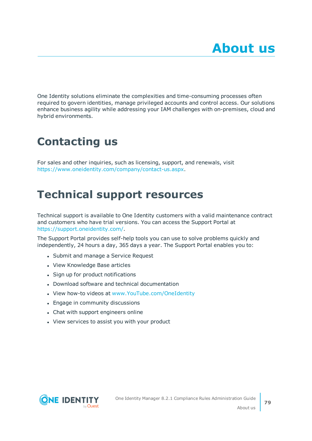One Identity solutions eliminate the complexities and time-consuming processes often required to govern identities, manage privileged accounts and control access. Our solutions enhance business agility while addressing your IAM challenges with on-premises, cloud and hybrid environments.

# **Contacting us**

For sales and other inquiries, such as licensing, support, and renewals, visit <https://www.oneidentity.com/company/contact-us.aspx>.

## **Technical support resources**

Technical support is available to One Identity customers with a valid maintenance contract and customers who have trial versions. You can access the Support Portal at [https://support.oneidentity.com/.](https://support.oneidentity.com/)

The Support Portal provides self-help tools you can use to solve problems quickly and independently, 24 hours a day, 365 days a year. The Support Portal enables you to:

- Submit and manage a Service Request
- View Knowledge Base articles
- Sign up for product notifications
- Download software and technical documentation
- View how-to videos at [www.YouTube.com/OneIdentity](http://www.youtube.com/OneIdentity)
- Engage in community discussions
- Chat with support engineers online
- View services to assist you with your product

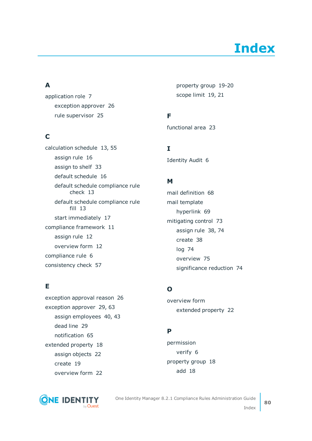# **Index**

## **A**

application role [7](#page-6-0) exception approver [26](#page-25-0) rule supervisor [25](#page-24-0)

## **C**

calculation schedule [13](#page-12-0), [55](#page-54-0) assign rule [16](#page-15-0) assign to shelf [33](#page-32-0) default schedule [16](#page-15-1) default schedule compliance rule check [13](#page-12-0) default schedule compliance rule fill [13](#page-12-0) start immediately [17](#page-16-0) compliance framework [11](#page-10-0) assign rule [12](#page-11-0) overview form [12](#page-11-1) compliance rule [6](#page-5-0) consistency check [57](#page-56-0)

## **E**

exception approval reason [26](#page-25-1) exception approver [29](#page-28-0), [63](#page-62-0) assign employees [40,](#page-39-0) [43](#page-42-0) dead line [29](#page-28-0) notification [65](#page-64-0) extended property [18](#page-17-0) assign objects [22](#page-21-0) create [19](#page-18-0) overview form [22](#page-21-1)



property group [19-20](#page-18-1) scope limit [19,](#page-18-1) [21](#page-20-0)

## **F**

functional area [23](#page-22-0)

**I**

Identity Audit [6](#page-5-0)

### **M**

mail definition [68](#page-67-0) mail template hyperlink [69](#page-68-0) mitigating control [73](#page-72-0) assign rule [38,](#page-37-0) [74](#page-73-0) create [38](#page-37-0) log [74](#page-73-1) overview [75](#page-74-0) significance reduction [74](#page-73-1)

## **O**

overview form extended property [22](#page-21-1)

## **P**

permission verify [6](#page-5-0) property group [18](#page-17-0) add [18](#page-17-1)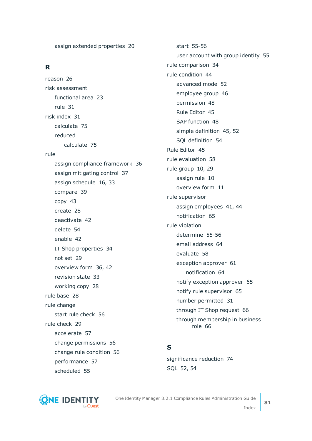assign extended properties [20](#page-19-0)

### **R**

reason [26](#page-25-1) risk assessment functional area [23](#page-22-0) rule [31](#page-30-0) risk index [31](#page-30-0) calculate [75](#page-74-1) reduced calculate [75](#page-74-1) rule assign compliance framework [36](#page-35-0) assign mitigating control [37](#page-36-0) assign schedule [16](#page-15-0), [33](#page-32-0) compare [39](#page-38-0) copy [43](#page-42-1) create [28](#page-27-0) deactivate [42](#page-41-0) delete [54](#page-53-0) enable [42](#page-41-0) IT Shop properties [34](#page-33-0) not set [29](#page-28-0) overview form [36](#page-35-1), [42](#page-41-1) revision state [33](#page-32-0) working copy [28](#page-27-0) rule base [28](#page-27-1) rule change start rule check [56](#page-55-0) rule check [29](#page-28-0) accelerate [57](#page-56-0) change permissions [56](#page-55-0) change rule condition [56](#page-55-0) performance [57](#page-56-0) scheduled [55](#page-54-0)

start [55-56](#page-54-1) user account with group identity [55](#page-54-2) rule comparison [34](#page-33-1) rule condition [44](#page-43-0) advanced mode [52](#page-51-0) employee group [46](#page-45-0) permission [48](#page-47-0) Rule Editor [45](#page-44-0) SAP function [48](#page-47-0) simple definition [45](#page-44-0), [52](#page-51-0) SQL definition [54](#page-53-1) Rule Editor [45](#page-44-0) rule evaluation [58](#page-57-0) rule group [10,](#page-9-0) [29](#page-28-0) assign rule [10](#page-9-1) overview form [11](#page-10-1) rule supervisor assign employees [41](#page-40-0), [44](#page-43-1) notification [65](#page-64-1) rule violation determine [55-56](#page-54-1) email address [64](#page-63-0) evaluate [58](#page-57-1) exception approver [61](#page-60-0) notification [64](#page-63-0) notify exception approver [65](#page-64-0) notify rule supervisor [65](#page-64-1) number permitted [31](#page-30-0) through IT Shop request [66](#page-65-0) through membership in business role [66](#page-65-0)

### **S**

significance reduction [74](#page-73-1) SQL [52](#page-51-0), [54](#page-53-1)



One Identity Manager 8.2.1 Compliance Rules Administration Guide Index